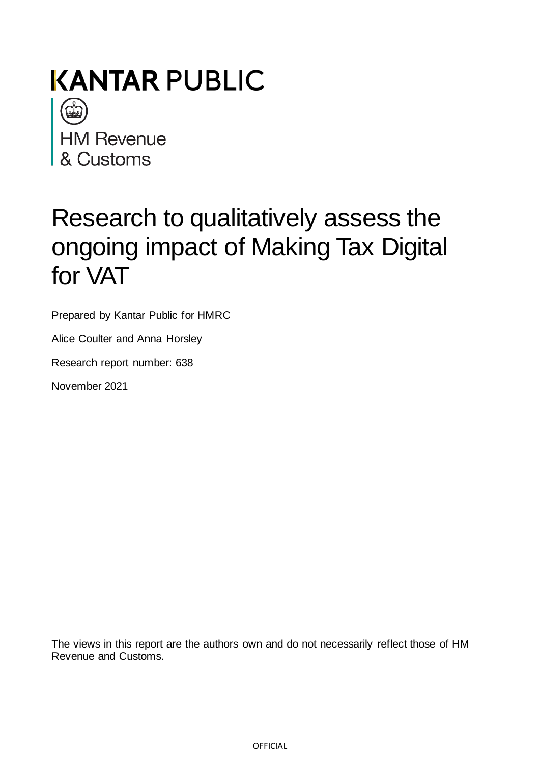

# Research to qualitatively assess the ongoing impact of Making Tax Digital for VAT

Prepared by Kantar Public for HMRC

Alice Coulter and Anna Horsley

Research report number: 638

November 2021

The views in this report are the authors own and do not necessarily reflect those of HM Revenue and Customs.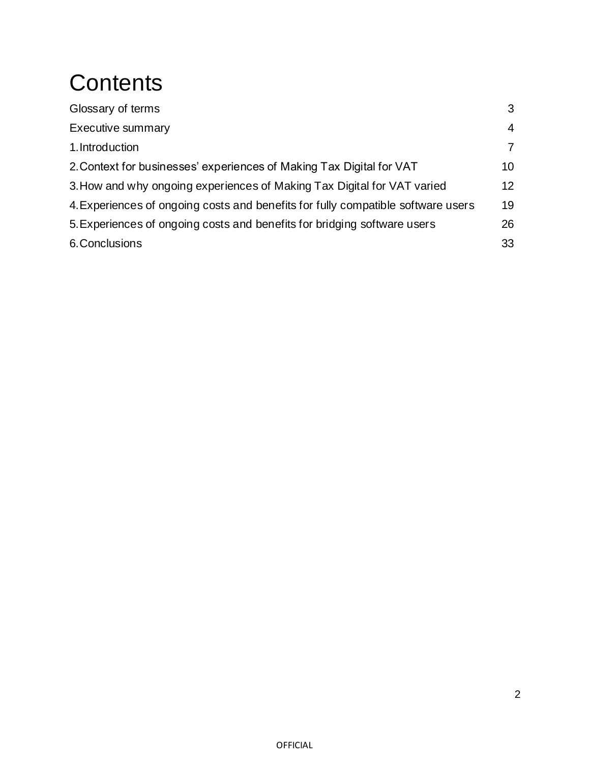# **Contents**

| Glossary of terms                                                                | 3               |
|----------------------------------------------------------------------------------|-----------------|
| <b>Executive summary</b>                                                         | 4               |
| 1. Introduction                                                                  | 7               |
| 2. Context for businesses' experiences of Making Tax Digital for VAT             | 10 <sup>°</sup> |
| 3. How and why ongoing experiences of Making Tax Digital for VAT varied          | 12              |
| 4. Experiences of ongoing costs and benefits for fully compatible software users | 19              |
| 5. Experiences of ongoing costs and benefits for bridging software users         | 26              |
| 6. Conclusions                                                                   | 33              |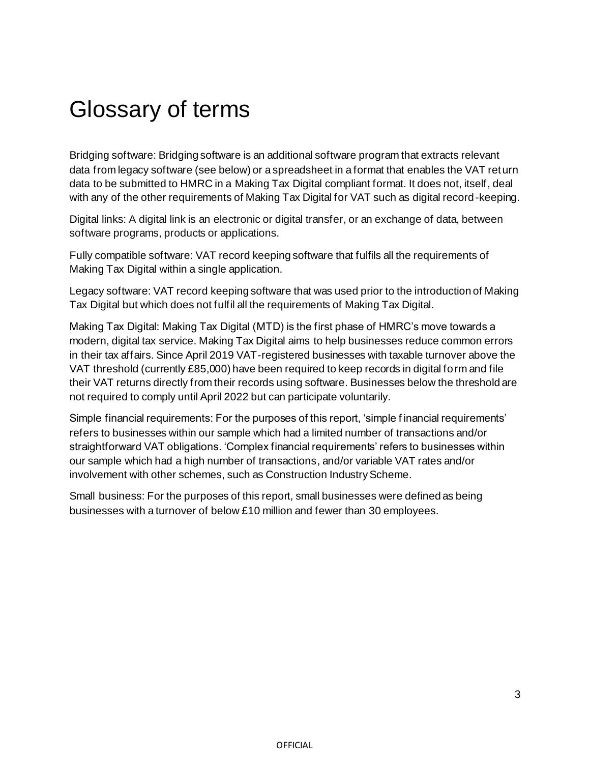# Glossary of terms

Bridging software: Bridging software is an additional software program that extracts relevant data from legacy software (see below) or a spreadsheet in a format that enables the VAT return data to be submitted to HMRC in a Making Tax Digital compliant format. It does not, itself, deal with any of the other requirements of Making Tax Digital for VAT such as digital record-keeping.

Digital links: A digital link is an electronic or digital transfer, or an exchange of data, between software programs, products or applications.

Fully compatible software: VAT record keeping software that fulfils all the requirements of Making Tax Digital within a single application.

Legacy software: VAT record keeping software that was used prior to the introduction of Making Tax Digital but which does not fulfil all the requirements of Making Tax Digital.

Making Tax Digital: Making Tax Digital (MTD) is the first phase of HMRC's move towards a modern, digital tax service. Making Tax Digital aims to help businesses reduce common errors in their tax affairs. Since April 2019 VAT-registered businesses with taxable turnover above the VAT threshold (currently £85,000) have been required to keep records in digital form and file their VAT returns directly from their records using software. Businesses below the threshold are not required to comply until April 2022 but can participate voluntarily.

Simple financial requirements: For the purposes of this report, 'simple f inancial requirements' refers to businesses within our sample which had a limited number of transactions and/or straightforward VAT obligations. 'Complex financial requirements' refers to businesses within our sample which had a high number of transactions, and/or variable VAT rates and/or involvement with other schemes, such as Construction Industry Scheme.

Small business: For the purposes of this report, small businesses were defined as being businesses with a turnover of below £10 million and fewer than 30 employees.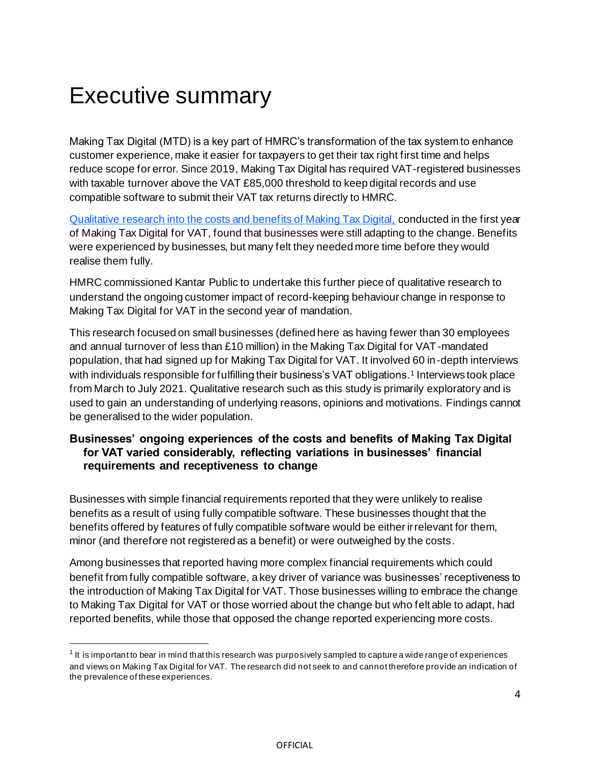# Executive summary

Making Tax Digital (MTD) is a key part of HMRC's transformation of the tax system to enhance customer experience, make it easier for taxpayers to get their tax right first time and helps reduce scope for error. Since 2019, Making Tax Digital has required VAT-registered businesses with taxable turnover above the VAT £85,000 threshold to keep digital records and use compatible software to submit their VAT tax returns directly to HMRC.

[Qualitative research into the costs and benefits of Making Tax Digital,](https://assets.publishing.service.gov.uk/government/uploads/system/uploads/attachment_data/file/968418/HMRC_research_report_605_-_Exploring_the_costs_and_benefits_of_MTD_for_VAT.pdf) conducted in the first year of Making Tax Digital for VAT, found that businesses were still adapting to the change. Benefits were experienced by businesses, but many felt they needed more time before they would realise them fully.

HMRC commissioned Kantar Public to undertake this further piece of qualitative research to understand the ongoing customer impact of record-keeping behaviour change in response to Making Tax Digital for VAT in the second year of mandation.

This research focused on small businesses (defined here as having fewer than 30 employees and annual turnover of less than £10 million) in the Making Tax Digital for VAT-mandated population, that had signed up for Making Tax Digital for VAT. It involved 60 in-depth interviews with individuals responsible for fulfilling their business's VAT obligations.<sup>1</sup> Interviews took place from March to July 2021. Qualitative research such as this study is primarily exploratory and is used to gain an understanding of underlying reasons, opinions and motivations. Findings cannot be generalised to the wider population.

#### **Businesses' ongoing experiences of the costs and benefits of Making Tax Digital for VAT varied considerably, reflecting variations in businesses' financial requirements and receptiveness to change**

Businesses with simple financial requirements reported that they were unlikely to realise benefits as a result of using fully compatible software. These businesses thought that the benefits offered by features of fully compatible software would be either irrelevant for them, minor (and therefore not registered as a benefit) or were outweighed by the costs*.*

Among businesses that reported having more complex financial requirements which could benefit from fully compatible software, a key driver of variance was businesses' receptiveness to the introduction of Making Tax Digital for VAT. Those businesses willing to embrace the change to Making Tax Digital for VAT or those worried about the change but who felt able to adapt, had reported benefits, while those that opposed the change reported experiencing more costs.

 $^{\text{1}}$  It is important to bear in mind that this research was purposively sampled to capture a wide range of experiences and views on Making Tax Digital for VAT. The research did not seek to and cannot therefore provide an indication of the prevalence of these experiences.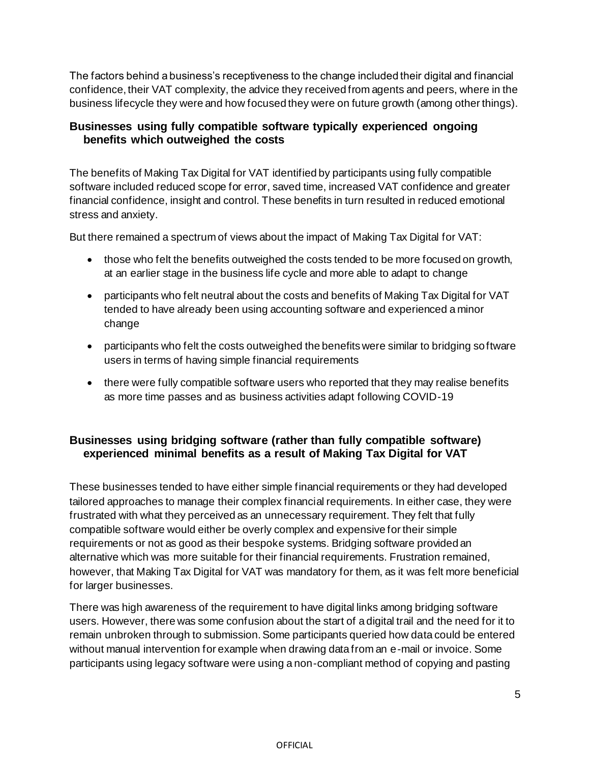The factors behind a business's receptiveness to the change included their digital and financial confidence, their VAT complexity, the advice they received from agents and peers, where in the business lifecycle they were and how focused they were on future growth (among other things).

#### **Businesses using fully compatible software typically experienced ongoing benefits which outweighed the costs**

The benefits of Making Tax Digital for VAT identified by participants using fully compatible software included reduced scope for error, saved time, increased VAT confidence and greater financial confidence, insight and control. These benefits in turn resulted in reduced emotional stress and anxiety.

But there remained a spectrum of views about the impact of Making Tax Digital for VAT:

- those who felt the benefits outweighed the costs tended to be more focused on growth, at an earlier stage in the business life cycle and more able to adapt to change
- participants who felt neutral about the costs and benefits of Making Tax Digital for VAT tended to have already been using accounting software and experienced a minor change
- participants who felt the costs outweighed the benefits were similar to bridging software users in terms of having simple financial requirements
- there were fully compatible software users who reported that they may realise benefits as more time passes and as business activities adapt following COVID-19

#### **Businesses using bridging software (rather than fully compatible software) experienced minimal benefits as a result of Making Tax Digital for VAT**

These businesses tended to have either simple financial requirements or they had developed tailored approaches to manage their complex financial requirements. In either case, they were frustrated with what they perceived as an unnecessary requirement. They felt that fully compatible software would either be overly complex and expensive for their simple requirements or not as good as their bespoke systems. Bridging software provided an alternative which was more suitable for their financial requirements. Frustration remained, however, that Making Tax Digital for VAT was mandatory for them, as it was felt more beneficial for larger businesses.

There was high awareness of the requirement to have digital links among bridging software users. However, there was some confusion about the start of a digital trail and the need for it to remain unbroken through to submission. Some participants queried how data could be entered without manual intervention for example when drawing data from an e-mail or invoice. Some participants using legacy software were using a non-compliant method of copying and pasting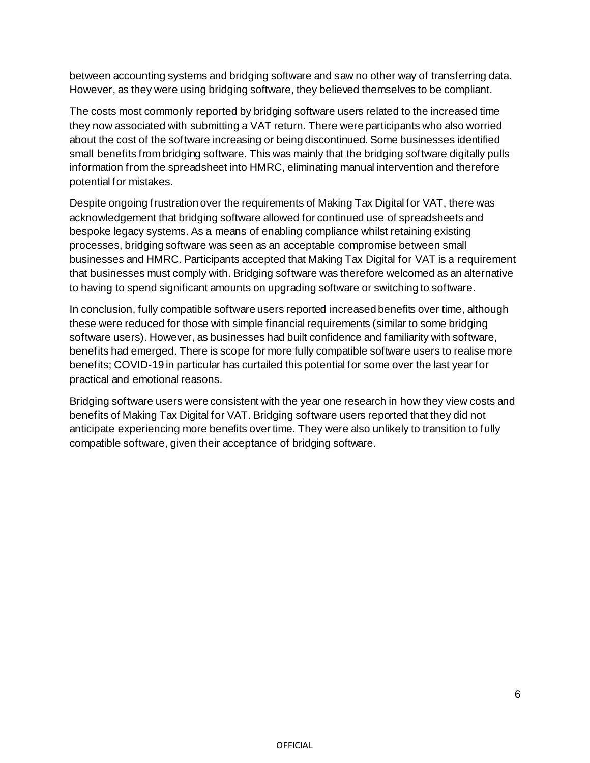between accounting systems and bridging software and saw no other way of transferring data. However, as they were using bridging software, they believed themselves to be compliant.

The costs most commonly reported by bridging software users related to the increased time they now associated with submitting a VAT return. There were participants who also worried about the cost of the software increasing or being discontinued. Some businesses identified small benefits from bridging software. This was mainly that the bridging software digitally pulls information from the spreadsheet into HMRC, eliminating manual intervention and therefore potential for mistakes.

Despite ongoing frustration over the requirements of Making Tax Digital for VAT, there was acknowledgement that bridging software allowed for continued use of spreadsheets and bespoke legacy systems. As a means of enabling compliance whilst retaining existing processes, bridging software was seen as an acceptable compromise between small businesses and HMRC. Participants accepted that Making Tax Digital for VAT is a requirement that businesses must comply with. Bridging software was therefore welcomed as an alternative to having to spend significant amounts on upgrading software or switching to software.

In conclusion, fully compatible software users reported increased benefits over time, although these were reduced for those with simple financial requirements (similar to some bridging software users). However, as businesses had built confidence and familiarity with software, benefits had emerged. There is scope for more fully compatible software users to realise more benefits; COVID-19 in particular has curtailed this potential for some over the last year for practical and emotional reasons.

Bridging software users were consistent with the year one research in how they view costs and benefits of Making Tax Digital for VAT. Bridging software users reported that they did not anticipate experiencing more benefits over time. They were also unlikely to transition to fully compatible software, given their acceptance of bridging software.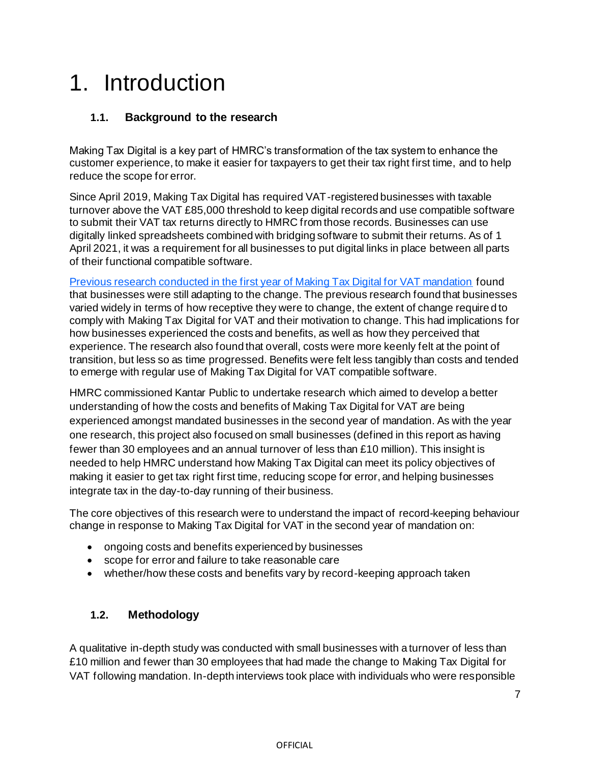# 1. Introduction

### **1.1. Background to the research**

Making Tax Digital is a key part of HMRC's transformation of the tax system to enhance the customer experience, to make it easier for taxpayers to get their tax right first time, and to help reduce the scope for error.

Since April 2019, Making Tax Digital has required VAT-registered businesses with taxable turnover above the VAT £85,000 threshold to keep digital records and use compatible software to submit their VAT tax returns directly to HMRC from those records. Businesses can use digitally linked spreadsheets combined with bridging software to submit their returns. As of 1 April 2021, it was a requirement for all businesses to put digital links in place between all parts of their functional compatible software.

[Previous research conducted in the first year of Making Tax Digital for VAT mandation](https://assets.publishing.service.gov.uk/government/uploads/system/uploads/attachment_data/file/968418/HMRC_research_report_605_-_Exploring_the_costs_and_benefits_of_MTD_for_VAT.pdf) found that businesses were still adapting to the change. The previous research found that businesses varied widely in terms of how receptive they were to change, the extent of change required to comply with Making Tax Digital for VAT and their motivation to change. This had implications for how businesses experienced the costs and benefits, as well as how they perceived that experience. The research also found that overall, costs were more keenly felt at the point of transition, but less so as time progressed. Benefits were felt less tangibly than costs and tended to emerge with regular use of Making Tax Digital for VAT compatible software.

HMRC commissioned Kantar Public to undertake research which aimed to develop a better understanding of how the costs and benefits of Making Tax Digital for VAT are being experienced amongst mandated businesses in the second year of mandation. As with the year one research, this project also focused on small businesses (defined in this report as having fewer than 30 employees and an annual turnover of less than  $£10$  million). This insight is needed to help HMRC understand how Making Tax Digital can meet its policy objectives of making it easier to get tax right first time, reducing scope for error, and helping businesses integrate tax in the day-to-day running of their business.

The core objectives of this research were to understand the impact of record-keeping behaviour change in response to Making Tax Digital for VAT in the second year of mandation on:

- ongoing costs and benefits experienced by businesses
- scope for error and failure to take reasonable care
- whether/how these costs and benefits vary by record-keeping approach taken

#### **1.2. Methodology**

A qualitative in-depth study was conducted with small businesses with a turnover of less than £10 million and fewer than 30 employees that had made the change to Making Tax Digital for VAT following mandation. In-depth interviews took place with individuals who were responsible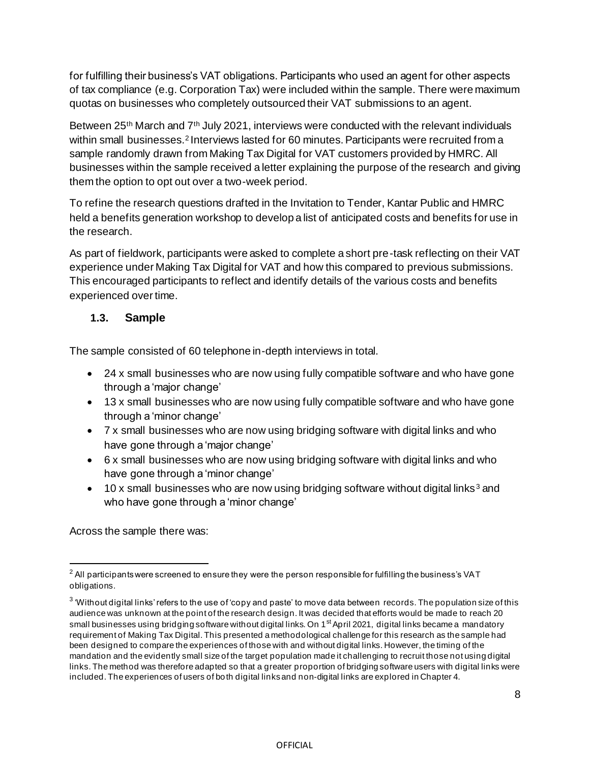for fulfilling their business's VAT obligations. Participants who used an agent for other aspects of tax compliance (e.g. Corporation Tax) were included within the sample. There were maximum quotas on businesses who completely outsourced their VAT submissions to an agent.

Between 25<sup>th</sup> March and  $7<sup>th</sup>$  July 2021, interviews were conducted with the relevant individuals within small businesses.<sup>2</sup> Interviews lasted for 60 minutes. Participants were recruited from a sample randomly drawn from Making Tax Digital for VAT customers provided by HMRC. All businesses within the sample received a letter explaining the purpose of the research and giving them the option to opt out over a two-week period.

To refine the research questions drafted in the Invitation to Tender, Kantar Public and HMRC held a benefits generation workshop to develop a list of anticipated costs and benefits for use in the research.

As part of fieldwork, participants were asked to complete a short pre-task reflecting on their VAT experience under Making Tax Digital for VAT and how this compared to previous submissions. This encouraged participants to reflect and identify details of the various costs and benefits experienced over time.

#### **1.3. Sample**

The sample consisted of 60 telephone in-depth interviews in total.

- 24 x small businesses who are now using fully compatible software and who have gone through a 'major change'
- 13 x small businesses who are now using fully compatible software and who have gone through a 'minor change'
- 7 x small businesses who are now using bridging software with digital links and who have gone through a 'major change'
- 6 x small businesses who are now using bridging software with digital links and who have gone through a 'minor change'
- $\bullet$  10 x small businesses who are now using bridging software without digital links<sup>3</sup> and who have gone through a 'minor change'

Across the sample there was:

 $^{2}$  All participants were screened to ensure they were the person responsible for fulfilling the business's VAT obligations.

 $^3$  'Without digital links' refers to the use of 'copy and paste' to move data between records. The population size of this audience was unknown at the point of the research design. It was decided that efforts would be made to reach 20 small businesses using bridging software without digital links. On 1<sup>st</sup> April 2021, digital links became a mandatory requirement of Making Tax Digital. This presented a methodological challenge for this research as the sample had been designed to compare the experiences of those with and without digital links. However, the timing of the mandation and the evidently small size of the target population made it challenging to recruit those not using digital links. The method was therefore adapted so that a greater proportion of bridging software users with digital links were included. The experiences of users of both digital links and non-digital links are explored in Chapter 4.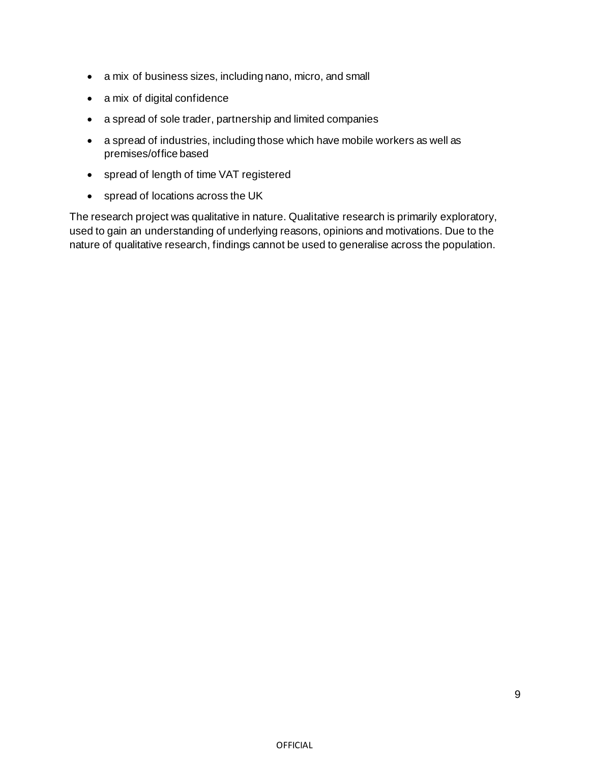- a mix of business sizes, including nano, micro, and small
- a mix of digital confidence
- a spread of sole trader, partnership and limited companies
- a spread of industries, including those which have mobile workers as well as premises/office based
- spread of length of time VAT registered
- spread of locations across the UK

The research project was qualitative in nature. Qualitative research is primarily exploratory, used to gain an understanding of underlying reasons, opinions and motivations. Due to the nature of qualitative research, findings cannot be used to generalise across the population.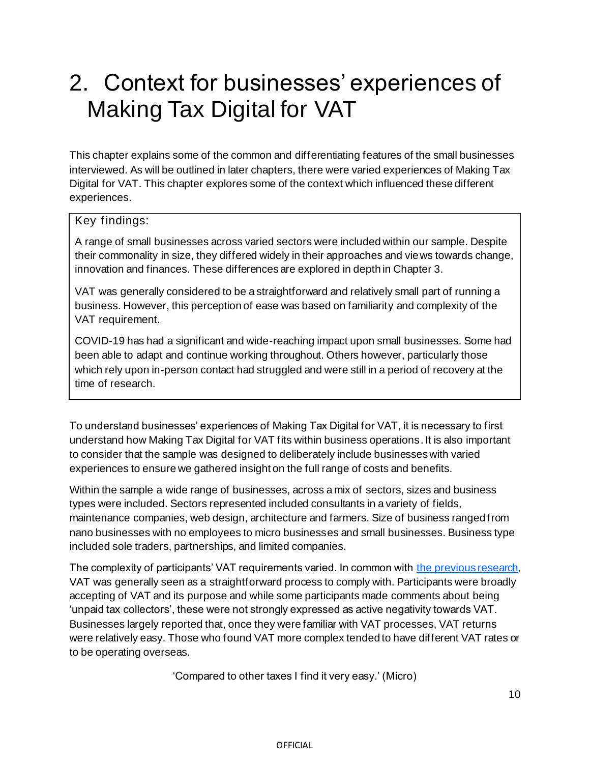# 2. Context for businesses' experiences of Making Tax Digital for VAT

This chapter explains some of the common and differentiating features of the small businesses interviewed. As will be outlined in later chapters, there were varied experiences of Making Tax Digital for VAT. This chapter explores some of the context which influenced these different experiences.

# Key findings:

A range of small businesses across varied sectors were included within our sample. Despite their commonality in size, they differed widely in their approaches and views towards change, innovation and finances. These differences are explored in depth in Chapter 3.

VAT was generally considered to be a straightforward and relatively small part of running a business. However, this perception of ease was based on familiarity and complexity of the VAT requirement.

COVID-19 has had a significant and wide-reaching impact upon small businesses. Some had been able to adapt and continue working throughout. Others however, particularly those which rely upon in-person contact had struggled and were still in a period of recovery at the time of research.

To understand businesses' experiences of Making Tax Digital for VAT, it is necessary to first understand how Making Tax Digital for VAT fits within business operations. It is also important to consider that the sample was designed to deliberately include businesses with varied experiences to ensure we gathered insight on the full range of costs and benefits.

Within the sample a wide range of businesses, across a mix of sectors, sizes and business types were included. Sectors represented included consultants in a variety of fields, maintenance companies, web design, architecture and farmers. Size of business ranged from nano businesses with no employees to micro businesses and small businesses. Business type included sole traders, partnerships, and limited companies.

The complexity of participants' VAT requirements varied. In common with the [previous research,](https://assets.publishing.service.gov.uk/government/uploads/system/uploads/attachment_data/file/968418/HMRC_research_report_605_-_Exploring_the_costs_and_benefits_of_MTD_for_VAT.pdf) VAT was generally seen as a straightforward process to comply with. Participants were broadly accepting of VAT and its purpose and while some participants made comments about being 'unpaid tax collectors', these were not strongly expressed as active negativity towards VAT. Businesses largely reported that, once they were familiar with VAT processes, VAT returns were relatively easy. Those who found VAT more complex tended to have different VAT rates or to be operating overseas.

'Compared to other taxes I find it very easy.' (Micro)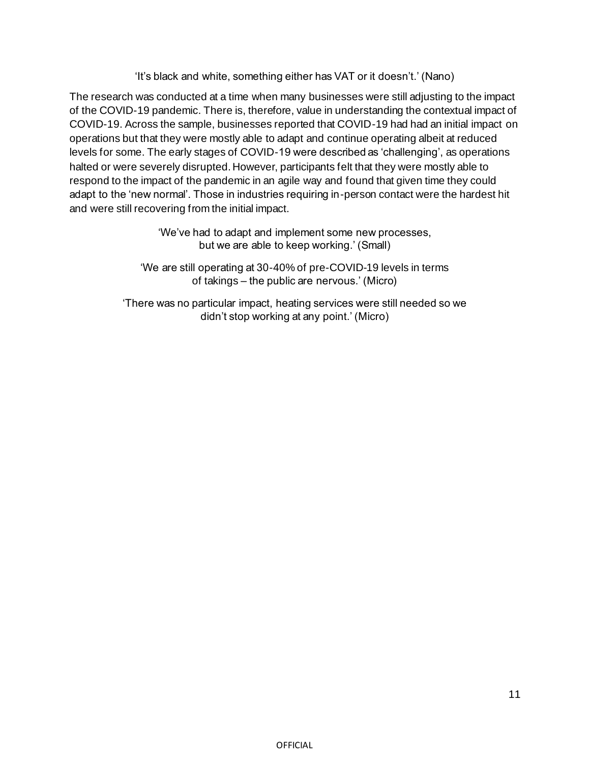'It's black and white, something either has VAT or it doesn't.' (Nano)

The research was conducted at a time when many businesses were still adjusting to the impact of the COVID-19 pandemic. There is, therefore, value in understanding the contextual impact of COVID-19. Across the sample, businesses reported that COVID-19 had had an initial impact on operations but that they were mostly able to adapt and continue operating albeit at reduced levels for some. The early stages of COVID-19 were described as 'challenging', as operations halted or were severely disrupted. However, participants felt that they were mostly able to respond to the impact of the pandemic in an agile way and found that given time they could adapt to the 'new normal'. Those in industries requiring in-person contact were the hardest hit and were still recovering from the initial impact.

> 'We've had to adapt and implement some new processes, but we are able to keep working.' (Small)

'We are still operating at 30-40% of pre-COVID-19 levels in terms of takings – the public are nervous.' (Micro)

'There was no particular impact, heating services were still needed so we didn't stop working at any point.' (Micro)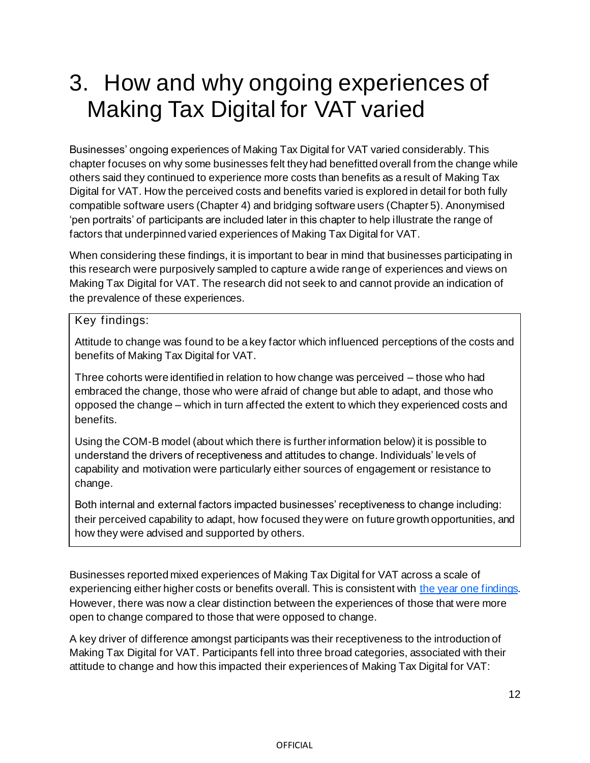# 3. How and why ongoing experiences of Making Tax Digital for VAT varied

Businesses' ongoing experiences of Making Tax Digital for VAT varied considerably. This chapter focuses on why some businesses felt they had benefitted overall from the change while others said they continued to experience more costs than benefits as a result of Making Tax Digital for VAT. How the perceived costs and benefits varied is explored in detail for both fully compatible software users (Chapter 4) and bridging software users (Chapter 5). Anonymised 'pen portraits' of participants are included later in this chapter to help illustrate the range of factors that underpinned varied experiences of Making Tax Digital for VAT.

When considering these findings, it is important to bear in mind that businesses participating in this research were purposively sampled to capture a wide range of experiences and views on Making Tax Digital for VAT. The research did not seek to and cannot provide an indication of the prevalence of these experiences.

#### Key findings:

Attitude to change was found to be a key factor which influenced perceptions of the costs and benefits of Making Tax Digital for VAT.

Three cohorts were identified in relation to how change was perceived – those who had embraced the change, those who were afraid of change but able to adapt, and those who opposed the change – which in turn affected the extent to which they experienced costs and benefits.

Using the COM-B model (about which there is further information below) it is possible to understand the drivers of receptiveness and attitudes to change. Individuals' levels of capability and motivation were particularly either sources of engagement or resistance to change.

Both internal and external factors impacted businesses' receptiveness to change including: their perceived capability to adapt, how focused they were on future growth opportunities, and how they were advised and supported by others.

Businesses reported mixed experiences of Making Tax Digital for VAT across a scale of experiencing either higher costs or benefits overall. This is consistent wit[h the year one findings.](https://assets.publishing.service.gov.uk/government/uploads/system/uploads/attachment_data/file/968418/HMRC_research_report_605_-_Exploring_the_costs_and_benefits_of_MTD_for_VAT.pdf) However, there was now a clear distinction between the experiences of those that were more open to change compared to those that were opposed to change.

A key driver of difference amongst participants was their receptiveness to the introduction of Making Tax Digital for VAT. Participants fell into three broad categories, associated with their attitude to change and how this impacted their experiences of Making Tax Digital for VAT: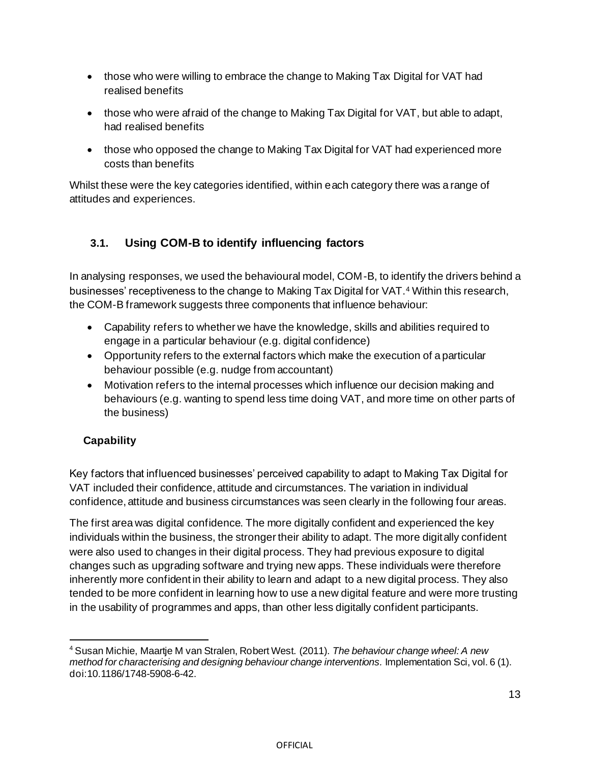- those who were willing to embrace the change to Making Tax Digital for VAT had realised benefits
- those who were afraid of the change to Making Tax Digital for VAT, but able to adapt, had realised benefits
- those who opposed the change to Making Tax Digital for VAT had experienced more costs than benefits

Whilst these were the key categories identified, within each category there was a range of attitudes and experiences.

# **3.1. Using COM-B to identify influencing factors**

In analysing responses, we used the behavioural model, COM-B, to identify the drivers behind a businesses' receptiveness to the change to Making Tax Digital for VAT.<sup>4</sup> Within this research, the COM-B framework suggests three components that influence behaviour:

- Capability refers to whether we have the knowledge, skills and abilities required to engage in a particular behaviour (e.g. digital confidence)
- Opportunity refers to the external factors which make the execution of a particular behaviour possible (e.g. nudge from accountant)
- Motivation refers to the internal processes which influence our decision making and behaviours (e.g. wanting to spend less time doing VAT, and more time on other parts of the business)

# **Capability**

Key factors that influenced businesses' perceived capability to adapt to Making Tax Digital for VAT included their confidence, attitude and circumstances. The variation in individual confidence, attitude and business circumstances was seen clearly in the following four areas.

The first area was digital confidence. The more digitally confident and experienced the key individuals within the business, the stronger their ability to adapt. The more digitally confident were also used to changes in their digital process. They had previous exposure to digital changes such as upgrading software and trying new apps. These individuals were therefore inherently more confident in their ability to learn and adapt to a new digital process. They also tended to be more confident in learning how to use a new digital feature and were more trusting in the usability of programmes and apps, than other less digitally confident participants.

<sup>4</sup> Susan Michie, Maartje M van Stralen, Robert West. (2011). *The behaviour change wheel: A new method for characterising and designing behaviour change interventions.* Implementation Sci, vol. 6 (1). doi:10.1186/1748-5908-6-42.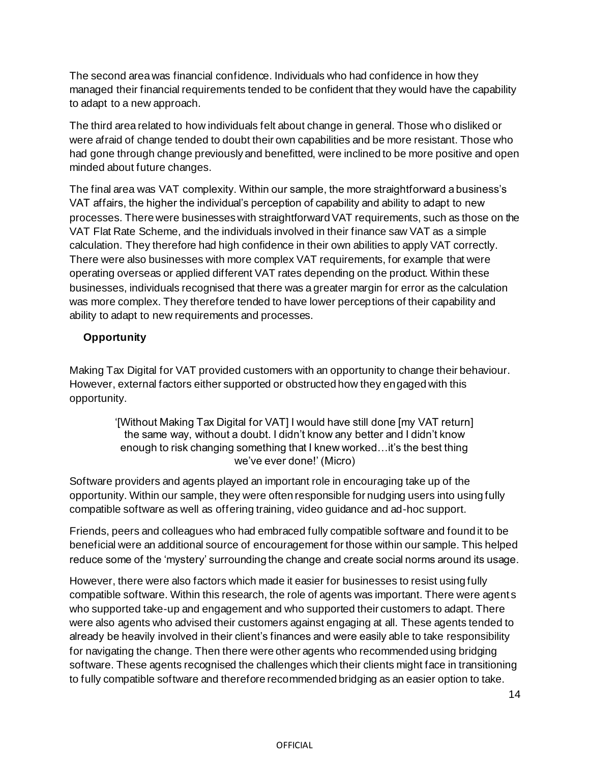The second area was financial confidence. Individuals who had confidence in how they managed their financial requirements tended to be confident that they would have the capability to adapt to a new approach.

The third area related to how individuals felt about change in general. Those who disliked or were afraid of change tended to doubt their own capabilities and be more resistant. Those who had gone through change previously and benefitted, were inclined to be more positive and open minded about future changes.

The final area was VAT complexity. Within our sample, the more straightforward a business's VAT affairs, the higher the individual's perception of capability and ability to adapt to new processes. There were businesses with straightforward VAT requirements, such as those on the VAT Flat Rate Scheme, and the individuals involved in their finance saw VAT as a simple calculation. They therefore had high confidence in their own abilities to apply VAT correctly. There were also businesses with more complex VAT requirements, for example that were operating overseas or applied different VAT rates depending on the product. Within these businesses, individuals recognised that there was a greater margin for error as the calculation was more complex. They therefore tended to have lower perceptions of their capability and ability to adapt to new requirements and processes.

#### **Opportunity**

Making Tax Digital for VAT provided customers with an opportunity to change their behaviour. However, external factors either supported or obstructed how they engaged with this opportunity.

> '[Without Making Tax Digital for VAT] I would have still done [my VAT return] the same way, without a doubt. I didn't know any better and I didn't know enough to risk changing something that I knew worked…it's the best thing we've ever done!' (Micro)

Software providers and agents played an important role in encouraging take up of the opportunity. Within our sample, they were often responsible for nudging users into using fully compatible software as well as offering training, video guidance and ad-hoc support.

Friends, peers and colleagues who had embraced fully compatible software and found it to be beneficial were an additional source of encouragement for those within our sample. This helped reduce some of the 'mystery' surrounding the change and create social norms around its usage.

However, there were also factors which made it easier for businesses to resist using fully compatible software. Within this research, the role of agents was important. There were agent s who supported take-up and engagement and who supported their customers to adapt. There were also agents who advised their customers against engaging at all. These agents tended to already be heavily involved in their client's finances and were easily able to take responsibility for navigating the change. Then there were other agents who recommended using bridging software. These agents recognised the challenges which their clients might face in transitioning to fully compatible software and therefore recommended bridging as an easier option to take.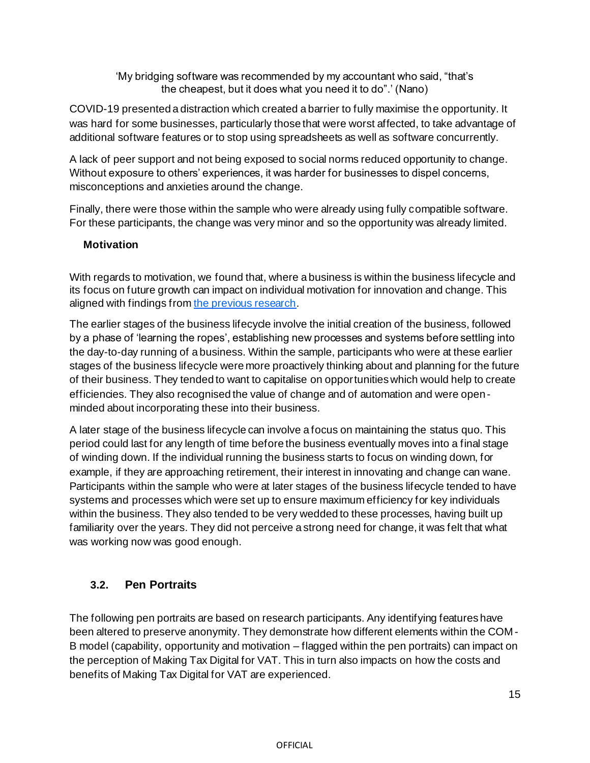'My bridging software was recommended by my accountant who said, "that's the cheapest, but it does what you need it to do".' (Nano)

COVID-19 presented a distraction which created a barrier to fully maximise the opportunity. It was hard for some businesses, particularly those that were worst affected, to take advantage of additional software features or to stop using spreadsheets as well as software concurrently.

A lack of peer support and not being exposed to social norms reduced opportunity to change. Without exposure to others' experiences, it was harder for businesses to dispel concerns, misconceptions and anxieties around the change.

Finally, there were those within the sample who were already using fully compatible software. For these participants, the change was very minor and so the opportunity was already limited.

#### **Motivation**

With regards to motivation, we found that, where a business is within the business lifecycle and its focus on future growth can impact on individual motivation for innovation and change. This aligned with findings fro[m the previous research](https://assets.publishing.service.gov.uk/government/uploads/system/uploads/attachment_data/file/968418/HMRC_research_report_605_-_Exploring_the_costs_and_benefits_of_MTD_for_VAT.pdf).

The earlier stages of the business lifecycle involve the initial creation of the business, followed by a phase of 'learning the ropes', establishing new processes and systems before settling into the day-to-day running of a business. Within the sample, participants who were at these earlier stages of the business lifecycle were more proactively thinking about and planning for the future of their business. They tended to want to capitalise on opportunities which would help to create efficiencies. They also recognised the value of change and of automation and were openminded about incorporating these into their business.

A later stage of the business lifecycle can involve a focus on maintaining the status quo. This period could last for any length of time before the business eventually moves into a final stage of winding down. If the individual running the business starts to focus on winding down, for example, if they are approaching retirement, their interest in innovating and change can wane. Participants within the sample who were at later stages of the business lifecycle tended to have systems and processes which were set up to ensure maximum efficiency for key individuals within the business. They also tended to be very wedded to these processes, having built up familiarity over the years. They did not perceive a strong need for change, it was felt that what was working now was good enough.

# **3.2. Pen Portraits**

The following pen portraits are based on research participants. Any identifying features have been altered to preserve anonymity. They demonstrate how different elements within the COM - B model (capability, opportunity and motivation – flagged within the pen portraits) can impact on the perception of Making Tax Digital for VAT. This in turn also impacts on how the costs and benefits of Making Tax Digital for VAT are experienced.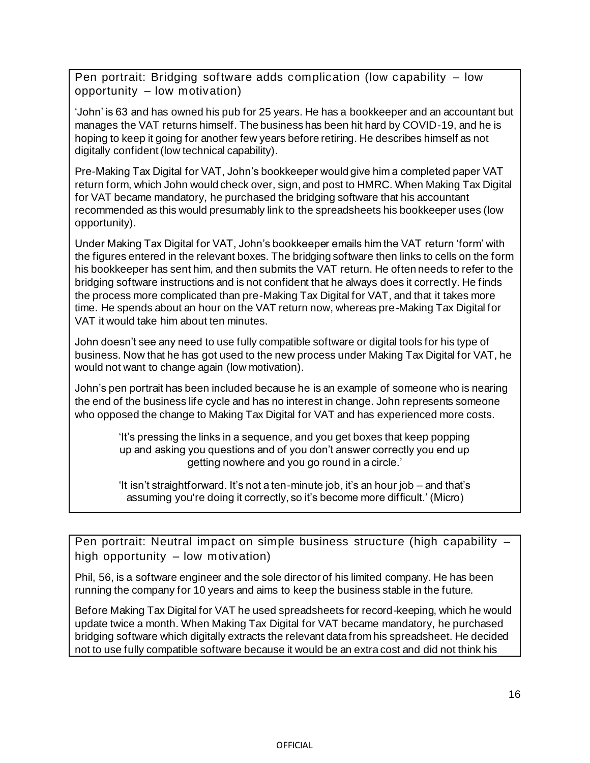Pen portrait: Bridging software adds complication (low capability – low opportunity – low motivation)

'John' is 63 and has owned his pub for 25 years. He has a bookkeeper and an accountant but manages the VAT returns himself. The business has been hit hard by COVID-19, and he is hoping to keep it going for another few years before retiring. He describes himself as not digitally confident (low technical capability).

Pre-Making Tax Digital for VAT, John's bookkeeper would give him a completed paper VAT return form, which John would check over, sign, and post to HMRC. When Making Tax Digital for VAT became mandatory, he purchased the bridging software that his accountant recommended as this would presumably link to the spreadsheets his bookkeeper uses (low opportunity).

Under Making Tax Digital for VAT, John's bookkeeper emails him the VAT return 'form' with the figures entered in the relevant boxes. The bridging software then links to cells on the form his bookkeeper has sent him, and then submits the VAT return. He often needs to refer to the bridging software instructions and is not confident that he always does it correctly. He finds the process more complicated than pre-Making Tax Digital for VAT, and that it takes more time. He spends about an hour on the VAT return now, whereas pre-Making Tax Digital for VAT it would take him about ten minutes.

John doesn't see any need to use fully compatible software or digital tools for his type of business. Now that he has got used to the new process under Making Tax Digital for VAT, he would not want to change again (low motivation).

John's pen portrait has been included because he is an example of someone who is nearing the end of the business life cycle and has no interest in change. John represents someone who opposed the change to Making Tax Digital for VAT and has experienced more costs.

> 'It's pressing the links in a sequence, and you get boxes that keep popping up and asking you questions and of you don't answer correctly you end up getting nowhere and you go round in a circle.'

> 'It isn't straightforward. It's not a ten-minute job, it's an hour job – and that's assuming you're doing it correctly, so it's become more difficult.' (Micro)

Pen portrait: Neutral impact on simple business structure (high capability – high opportunity – low motivation)

Phil, 56, is a software engineer and the sole director of his limited company. He has been running the company for 10 years and aims to keep the business stable in the future.

Before Making Tax Digital for VAT he used spreadsheets for record-keeping, which he would update twice a month. When Making Tax Digital for VAT became mandatory, he purchased bridging software which digitally extracts the relevant data from his spreadsheet. He decided not to use fully compatible software because it would be an extra cost and did not think his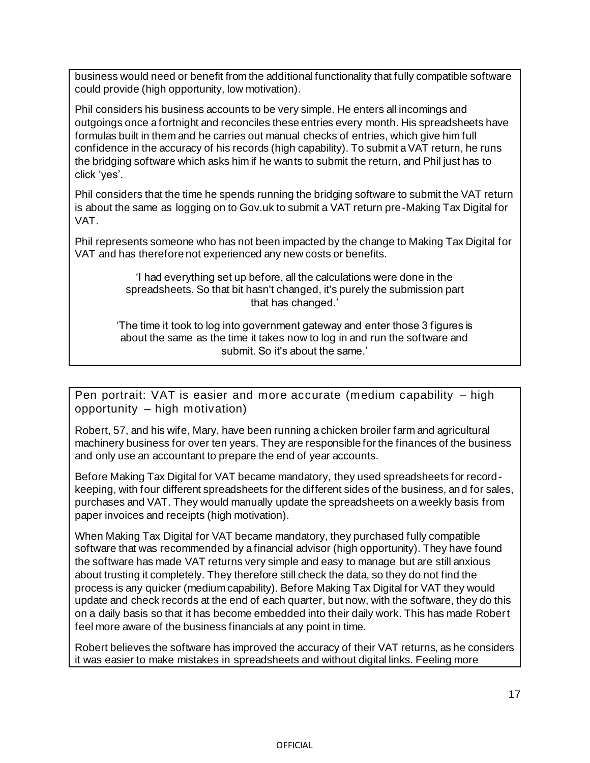business would need or benefit from the additional functionality that fully compatible software could provide (high opportunity, low motivation).

Phil considers his business accounts to be very simple. He enters all incomings and outgoings once a fortnight and reconciles these entries every month. His spreadsheets have formulas built in them and he carries out manual checks of entries, which give him full confidence in the accuracy of his records (high capability). To submit a VAT return, he runs the bridging software which asks him if he wants to submit the return, and Phil just has to click 'yes'.

Phil considers that the time he spends running the bridging software to submit the VAT return is about the same as logging on to Gov.uk to submit a VAT return pre-Making Tax Digital for VAT.

Phil represents someone who has not been impacted by the change to Making Tax Digital for VAT and has therefore not experienced any new costs or benefits.

> 'I had everything set up before, all the calculations were done in the spreadsheets. So that bit hasn't changed, it's purely the submission part that has changed.'

'The time it took to log into government gateway and enter those 3 figures is about the same as the time it takes now to log in and run the software and submit. So it's about the same.'

Pen portrait: VAT is easier and more accurate (medium capability – high opportunity – high motivation)

Robert, 57, and his wife, Mary, have been running a chicken broiler farm and agricultural machinery business for over ten years. They are responsible for the finances of the business and only use an accountant to prepare the end of year accounts.

Before Making Tax Digital for VAT became mandatory, they used spreadsheets for recordkeeping, with four different spreadsheets for the different sides of the business, and for sales, purchases and VAT. They would manually update the spreadsheets on a weekly basis from paper invoices and receipts (high motivation).

When Making Tax Digital for VAT became mandatory, they purchased fully compatible software that was recommended by a financial advisor (high opportunity). They have found the software has made VAT returns very simple and easy to manage but are still anxious about trusting it completely. They therefore still check the data, so they do not find the process is any quicker (medium capability). Before Making Tax Digital for VAT they would update and check records at the end of each quarter, but now, with the software, they do this on a daily basis so that it has become embedded into their daily work. This has made Robert feel more aware of the business financials at any point in time.

Robert believes the software has improved the accuracy of their VAT returns, as he considers it was easier to make mistakes in spreadsheets and without digital links. Feeling more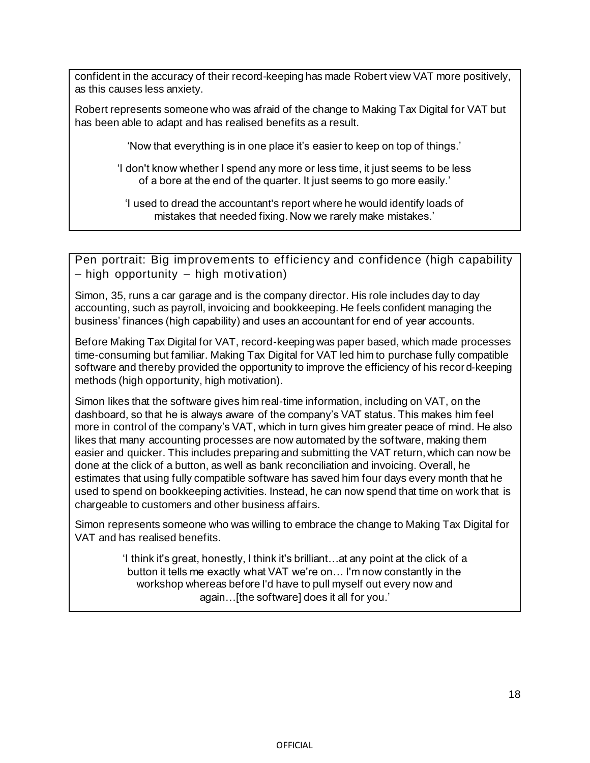confident in the accuracy of their record-keeping has made Robert view VAT more positively, as this causes less anxiety.

Robert represents someone who was afraid of the change to Making Tax Digital for VAT but has been able to adapt and has realised benefits as a result.

'Now that everything is in one place it's easier to keep on top of things.'

'I don't know whether I spend any more or less time, it just seems to be less of a bore at the end of the quarter. It just seems to go more easily.'

'I used to dread the accountant's report where he would identify loads of mistakes that needed fixing. Now we rarely make mistakes.'

Pen portrait: Big improvements to efficiency and confidence (high capability – high opportunity – high motivation)

Simon, 35, runs a car garage and is the company director. His role includes day to day accounting, such as payroll, invoicing and bookkeeping. He feels confident managing the business' finances (high capability) and uses an accountant for end of year accounts.

Before Making Tax Digital for VAT, record-keeping was paper based, which made processes time-consuming but familiar. Making Tax Digital for VAT led him to purchase fully compatible software and thereby provided the opportunity to improve the efficiency of his record-keeping methods (high opportunity, high motivation).

Simon likes that the software gives him real-time information, including on VAT, on the dashboard, so that he is always aware of the company's VAT status. This makes him feel more in control of the company's VAT, which in turn gives him greater peace of mind. He also likes that many accounting processes are now automated by the software, making them easier and quicker. This includes preparing and submitting the VAT return, which can now be done at the click of a button, as well as bank reconciliation and invoicing. Overall, he estimates that using fully compatible software has saved him four days every month that he used to spend on bookkeeping activities. Instead, he can now spend that time on work that is chargeable to customers and other business affairs.

Simon represents someone who was willing to embrace the change to Making Tax Digital for VAT and has realised benefits.

> 'I think it's great, honestly, I think it's brilliant…at any point at the click of a button it tells me exactly what VAT we're on… I'm now constantly in the workshop whereas before I'd have to pull myself out every now and again…[the software] does it all for you.'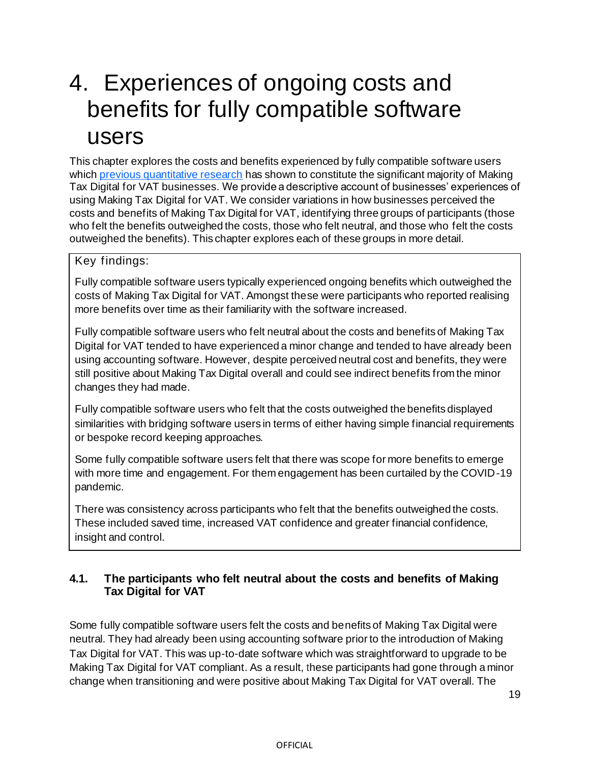# 4. Experiences of ongoing costs and benefits for fully compatible software users

This chapter explores the costs and benefits experienced by fully compatible software users which [previous quantitative research](https://assets.publishing.service.gov.uk/government/uploads/system/uploads/attachment_data/file/1003973/Impact_of_Making_Tax_Digital_for_VAT_-_HMRC_research_report.pdf) has shown to constitute the significant majority of Making Tax Digital for VAT businesses. We provide a descriptive account of businesses' experiences of using Making Tax Digital for VAT. We consider variations in how businesses perceived the costs and benefits of Making Tax Digital for VAT, identifying three groups of participants (those who felt the benefits outweighed the costs, those who felt neutral, and those who felt the costs outweighed the benefits). This chapter explores each of these groups in more detail.

#### Key findings:

Fully compatible software users typically experienced ongoing benefits which outweighed the costs of Making Tax Digital for VAT. Amongst these were participants who reported realising more benefits over time as their familiarity with the software increased.

Fully compatible software users who felt neutral about the costs and benefits of Making Tax Digital for VAT tended to have experienced a minor change and tended to have already been using accounting software. However, despite perceived neutral cost and benefits, they were still positive about Making Tax Digital overall and could see indirect benefits from the minor changes they had made.

Fully compatible software users who felt that the costs outweighed the benefits displayed similarities with bridging software users in terms of either having simple financial requirements or bespoke record keeping approaches.

Some fully compatible software users felt that there was scope for more benefits to emerge with more time and engagement. For them engagement has been curtailed by the COVID-19 pandemic.

There was consistency across participants who felt that the benefits outweighed the costs. These included saved time, increased VAT confidence and greater financial confidence, insight and control.

#### **4.1. The participants who felt neutral about the costs and benefits of Making Tax Digital for VAT**

Some fully compatible software users felt the costs and benefits of Making Tax Digital were neutral. They had already been using accounting software prior to the introduction of Making Tax Digital for VAT. This was up-to-date software which was straightforward to upgrade to be Making Tax Digital for VAT compliant. As a result, these participants had gone through a minor change when transitioning and were positive about Making Tax Digital for VAT overall. The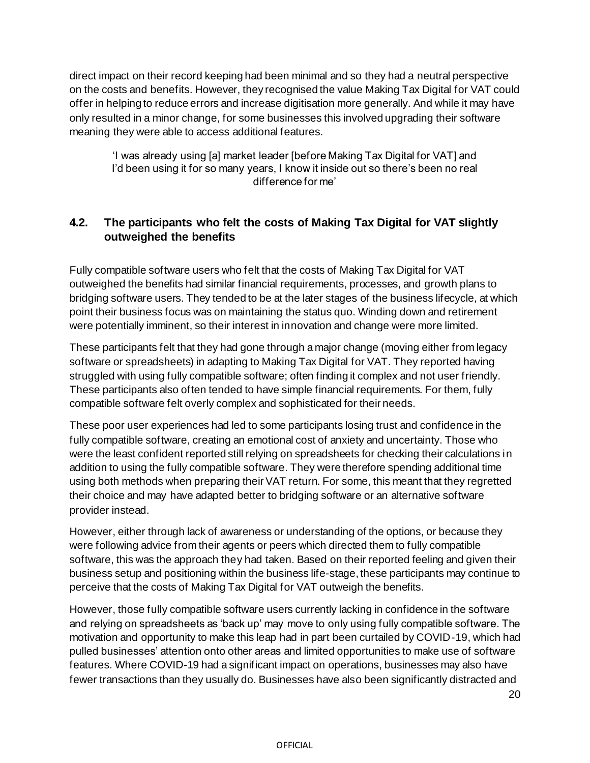direct impact on their record keeping had been minimal and so they had a neutral perspective on the costs and benefits. However, they recognised the value Making Tax Digital for VAT could offer in helping to reduce errors and increase digitisation more generally. And while it may have only resulted in a minor change, for some businesses this involved upgrading their software meaning they were able to access additional features.

'I was already using [a] market leader [before Making Tax Digital for VAT] and I'd been using it for so many years, I know it inside out so there's been no real difference for me'

#### **4.2. The participants who felt the costs of Making Tax Digital for VAT slightly outweighed the benefits**

Fully compatible software users who felt that the costs of Making Tax Digital for VAT outweighed the benefits had similar financial requirements, processes, and growth plans to bridging software users. They tended to be at the later stages of the business lifecycle, at which point their business focus was on maintaining the status quo. Winding down and retirement were potentially imminent, so their interest in innovation and change were more limited.

These participants felt that they had gone through a major change (moving either from legacy software or spreadsheets) in adapting to Making Tax Digital for VAT. They reported having struggled with using fully compatible software; often finding it complex and not user friendly. These participants also often tended to have simple financial requirements. For them, fully compatible software felt overly complex and sophisticated for their needs.

These poor user experiences had led to some participants losing trust and confidence in the fully compatible software, creating an emotional cost of anxiety and uncertainty. Those who were the least confident reported still relying on spreadsheets for checking their calculations in addition to using the fully compatible software. They were therefore spending additional time using both methods when preparing their VAT return. For some, this meant that they regretted their choice and may have adapted better to bridging software or an alternative software provider instead.

However, either through lack of awareness or understanding of the options, or because they were following advice from their agents or peers which directed them to fully compatible software, this was the approach they had taken. Based on their reported feeling and given their business setup and positioning within the business life-stage, these participants may continue to perceive that the costs of Making Tax Digital for VAT outweigh the benefits.

However, those fully compatible software users currently lacking in confidence in the software and relying on spreadsheets as 'back up' may move to only using fully compatible software. The motivation and opportunity to make this leap had in part been curtailed by COVID-19, which had pulled businesses' attention onto other areas and limited opportunities to make use of software features. Where COVID-19 had a significant impact on operations, businesses may also have fewer transactions than they usually do. Businesses have also been significantly distracted and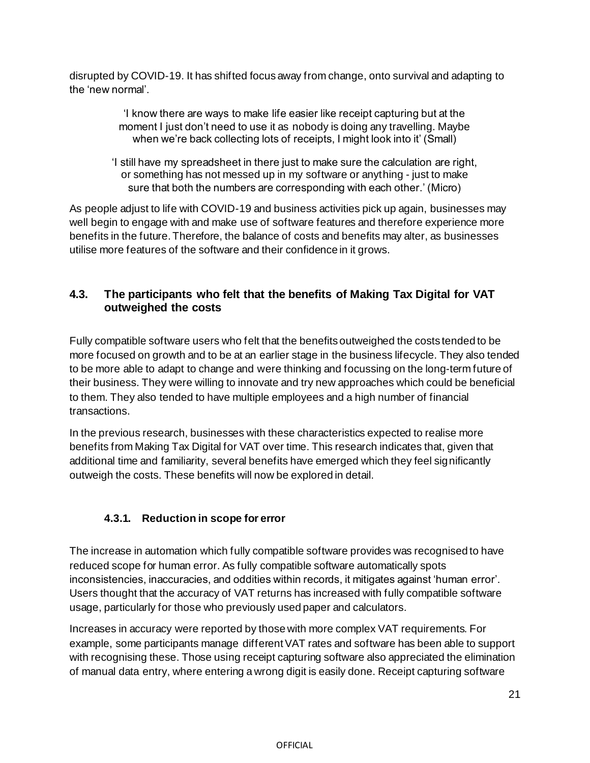disrupted by COVID-19. It has shifted focus away from change, onto survival and adapting to the 'new normal'.

> 'I know there are ways to make life easier like receipt capturing but at the moment I just don't need to use it as nobody is doing any travelling. Maybe when we're back collecting lots of receipts, I might look into it' (Small)

'I still have my spreadsheet in there just to make sure the calculation are right, or something has not messed up in my software or anything - just to make sure that both the numbers are corresponding with each other.' (Micro)

As people adjust to life with COVID-19 and business activities pick up again, businesses may well begin to engage with and make use of software features and therefore experience more benefits in the future. Therefore, the balance of costs and benefits may alter, as businesses utilise more features of the software and their confidence in it grows.

#### **4.3. The participants who felt that the benefits of Making Tax Digital for VAT outweighed the costs**

Fully compatible software users who felt that the benefits outweighed the costs tended to be more focused on growth and to be at an earlier stage in the business lifecycle. They also tended to be more able to adapt to change and were thinking and focussing on the long-term future of their business. They were willing to innovate and try new approaches which could be beneficial to them. They also tended to have multiple employees and a high number of financial transactions.

In the previous research, businesses with these characteristics expected to realise more benefits from Making Tax Digital for VAT over time. This research indicates that, given that additional time and familiarity, several benefits have emerged which they feel significantly outweigh the costs. These benefits will now be explored in detail.

#### **4.3.1. Reduction in scope for error**

The increase in automation which fully compatible software provides was recognised to have reduced scope for human error. As fully compatible software automatically spots inconsistencies, inaccuracies, and oddities within records, it mitigates against 'human error'. Users thought that the accuracy of VAT returns has increased with fully compatible software usage, particularly for those who previously used paper and calculators.

Increases in accuracy were reported by those with more complex VAT requirements. For example, some participants manage different VAT rates and software has been able to support with recognising these. Those using receipt capturing software also appreciated the elimination of manual data entry, where entering a wrong digit is easily done. Receipt capturing software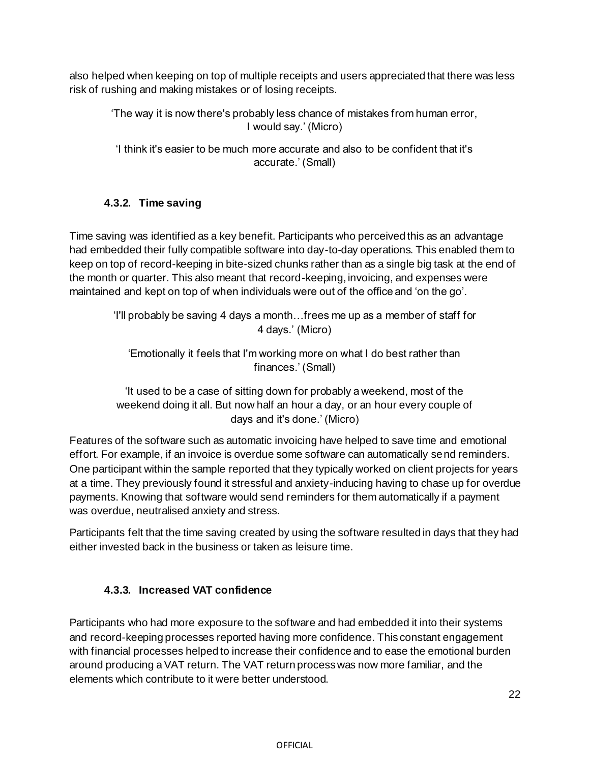also helped when keeping on top of multiple receipts and users appreciated that there was less risk of rushing and making mistakes or of losing receipts.

'The way it is now there's probably less chance of mistakes from human error, I would say.' (Micro)

'I think it's easier to be much more accurate and also to be confident that it's accurate.' (Small)

### **4.3.2. Time saving**

Time saving was identified as a key benefit. Participants who perceived this as an advantage had embedded their fully compatible software into day-to-day operations. This enabled them to keep on top of record-keeping in bite-sized chunks rather than as a single big task at the end of the month or quarter. This also meant that record-keeping, invoicing, and expenses were maintained and kept on top of when individuals were out of the office and 'on the go'.

'I'll probably be saving 4 days a month…frees me up as a member of staff for 4 days.' (Micro)

'Emotionally it feels that I'm working more on what I do best rather than finances.' (Small)

'It used to be a case of sitting down for probably a weekend, most of the weekend doing it all. But now half an hour a day, or an hour every couple of days and it's done.' (Micro)

Features of the software such as automatic invoicing have helped to save time and emotional effort. For example, if an invoice is overdue some software can automatically send reminders. One participant within the sample reported that they typically worked on client projects for years at a time. They previously found it stressful and anxiety-inducing having to chase up for overdue payments. Knowing that software would send reminders for them automatically if a payment was overdue, neutralised anxiety and stress.

Participants felt that the time saving created by using the software resulted in days that they had either invested back in the business or taken as leisure time.

#### **4.3.3. Increased VAT confidence**

Participants who had more exposure to the software and had embedded it into their systems and record-keeping processes reported having more confidence. This constant engagement with financial processes helped to increase their confidence and to ease the emotional burden around producing a VAT return. The VAT return process was now more familiar, and the elements which contribute to it were better understood.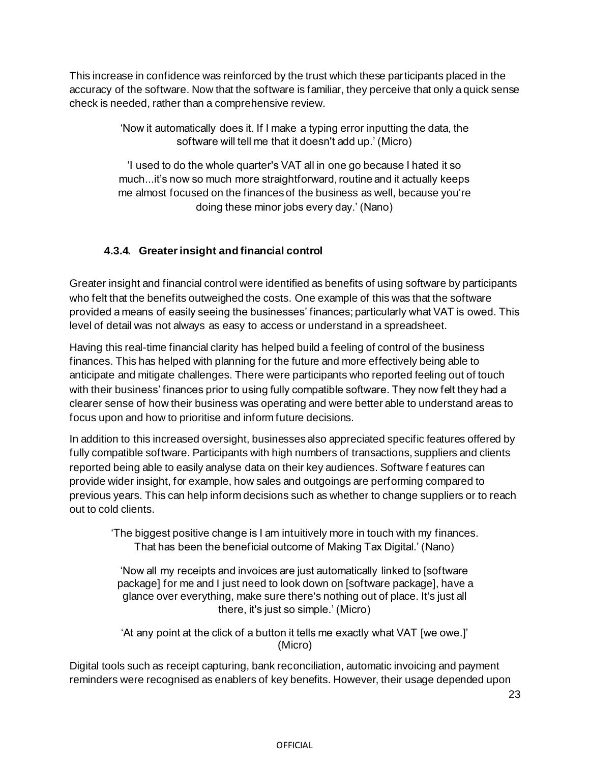This increase in confidence was reinforced by the trust which these participants placed in the accuracy of the software. Now that the software is familiar, they perceive that only a quick sense check is needed, rather than a comprehensive review.

> 'Now it automatically does it. If I make a typing error inputting the data, the software will tell me that it doesn't add up.' (Micro)

> 'I used to do the whole quarter's VAT all in one go because I hated it so much...it's now so much more straightforward, routine and it actually keeps me almost focused on the finances of the business as well, because you're doing these minor jobs every day.' (Nano)

### **4.3.4. Greater insight and financial control**

Greater insight and financial control were identified as benefits of using software by participants who felt that the benefits outweighed the costs. One example of this was that the software provided a means of easily seeing the businesses' finances; particularly what VAT is owed. This level of detail was not always as easy to access or understand in a spreadsheet.

Having this real-time financial clarity has helped build a feeling of control of the business finances. This has helped with planning for the future and more effectively being able to anticipate and mitigate challenges. There were participants who reported feeling out of touch with their business' finances prior to using fully compatible software. They now felt they had a clearer sense of how their business was operating and were better able to understand areas to focus upon and how to prioritise and inform future decisions.

In addition to this increased oversight, businesses also appreciated specific features offered by fully compatible software. Participants with high numbers of transactions, suppliers and clients reported being able to easily analyse data on their key audiences. Software f eatures can provide wider insight, for example, how sales and outgoings are performing compared to previous years. This can help inform decisions such as whether to change suppliers or to reach out to cold clients.

'The biggest positive change is I am intuitively more in touch with my finances. That has been the beneficial outcome of Making Tax Digital.' (Nano)

'Now all my receipts and invoices are just automatically linked to [software package] for me and I just need to look down on [software package], have a glance over everything, make sure there's nothing out of place. It's just all there, it's just so simple.' (Micro)

'At any point at the click of a button it tells me exactly what VAT [we owe.]' (Micro)

Digital tools such as receipt capturing, bank reconciliation, automatic invoicing and payment reminders were recognised as enablers of key benefits. However, their usage depended upon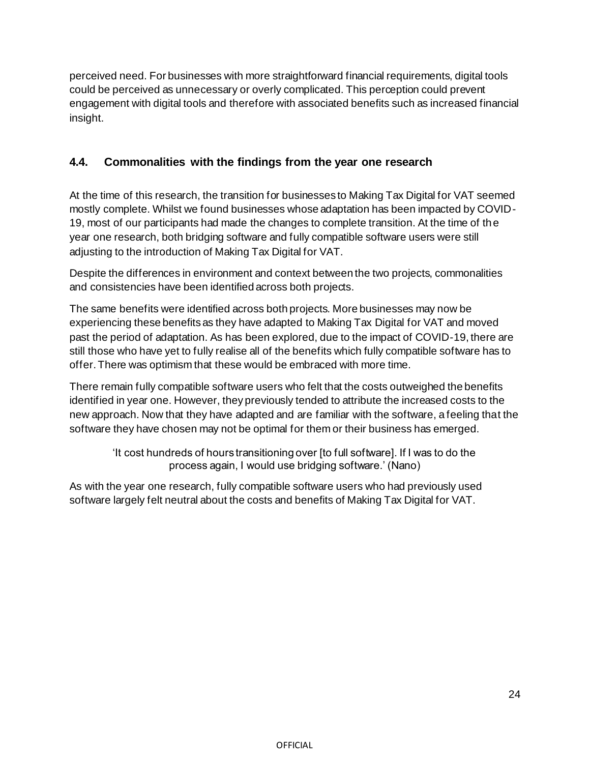perceived need. For businesses with more straightforward financial requirements, digital tools could be perceived as unnecessary or overly complicated. This perception could prevent engagement with digital tools and therefore with associated benefits such as increased financial insight.

# **4.4. Commonalities with the findings from the year one research**

At the time of this research, the transition for businesses to Making Tax Digital for VAT seemed mostly complete. Whilst we found businesses whose adaptation has been impacted by COVID-19, most of our participants had made the changes to complete transition. At the time of the year one research, both bridging software and fully compatible software users were still adjusting to the introduction of Making Tax Digital for VAT.

Despite the differences in environment and context between the two projects, commonalities and consistencies have been identified across both projects.

The same benefits were identified across both projects. More businesses may now be experiencing these benefits as they have adapted to Making Tax Digital for VAT and moved past the period of adaptation. As has been explored, due to the impact of COVID-19, there are still those who have yet to fully realise all of the benefits which fully compatible software has to offer. There was optimism that these would be embraced with more time.

There remain fully compatible software users who felt that the costs outweighed the benefits identified in year one. However, they previously tended to attribute the increased costs to the new approach. Now that they have adapted and are familiar with the software, a feeling that the software they have chosen may not be optimal for them or their business has emerged.

'It cost hundreds of hours transitioning over [to full software]. If I was to do the process again, I would use bridging software.' (Nano)

As with the year one research, fully compatible software users who had previously used software largely felt neutral about the costs and benefits of Making Tax Digital for VAT.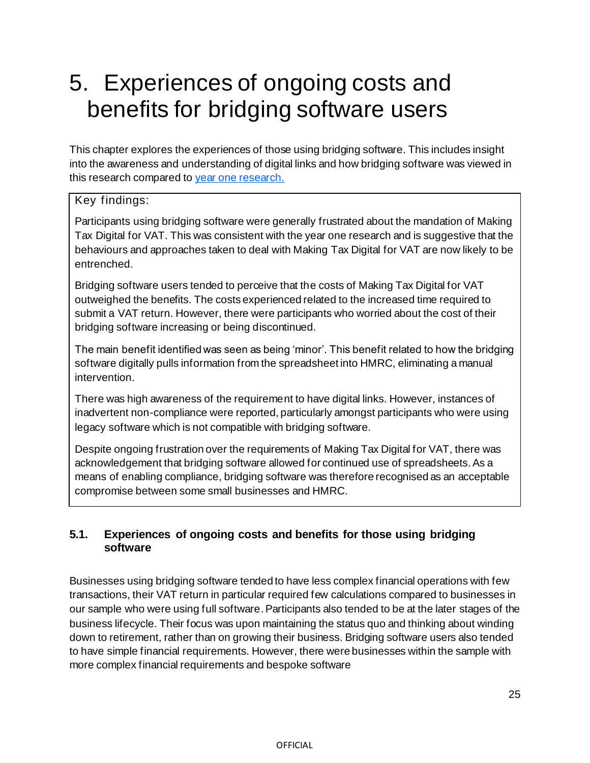# 5. Experiences of ongoing costs and benefits for bridging software users

This chapter explores the experiences of those using bridging software. This includes insight into the awareness and understanding of digital links and how bridging software was viewed in this research compared to [year one research.](https://assets.publishing.service.gov.uk/government/uploads/system/uploads/attachment_data/file/968418/HMRC_research_report_605_-_Exploring_the_costs_and_benefits_of_MTD_for_VAT.pdf)

#### Key findings:

Participants using bridging software were generally frustrated about the mandation of Making Tax Digital for VAT. This was consistent with the year one research and is suggestive that the behaviours and approaches taken to deal with Making Tax Digital for VAT are now likely to be entrenched.

Bridging software users tended to perceive that the costs of Making Tax Digital for VAT outweighed the benefits. The costs experienced related to the increased time required to submit a VAT return. However, there were participants who worried about the cost of their bridging software increasing or being discontinued.

The main benefit identified was seen as being 'minor'. This benefit related to how the bridging software digitally pulls information from the spreadsheet into HMRC, eliminating a manual intervention.

There was high awareness of the requirement to have digital links. However, instances of inadvertent non-compliance were reported, particularly amongst participants who were using legacy software which is not compatible with bridging software.

Despite ongoing frustration over the requirements of Making Tax Digital for VAT, there was acknowledgement that bridging software allowed for continued use of spreadsheets. As a means of enabling compliance, bridging software was therefore recognised as an acceptable compromise between some small businesses and HMRC.

#### **5.1. Experiences of ongoing costs and benefits for those using bridging software**

Businesses using bridging software tended to have less complex financial operations with few transactions, their VAT return in particular required few calculations compared to businesses in our sample who were using full software. Participants also tended to be at the later stages of the business lifecycle. Their focus was upon maintaining the status quo and thinking about winding down to retirement, rather than on growing their business. Bridging software users also tended to have simple financial requirements. However, there were businesses within the sample with more complex financial requirements and bespoke software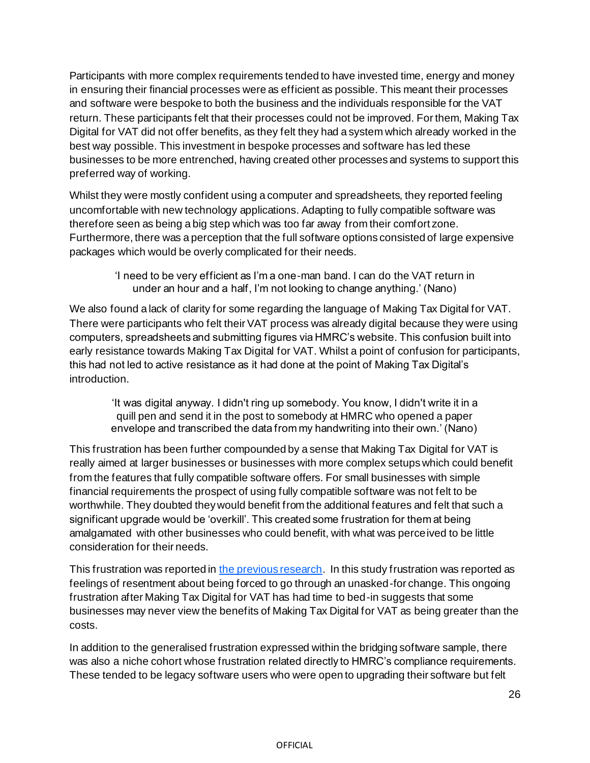Participants with more complex requirements tended to have invested time, energy and money in ensuring their financial processes were as efficient as possible. This meant their processes and software were bespoke to both the business and the individuals responsible for the VAT return. These participants felt that their processes could not be improved. For them, Making Tax Digital for VAT did not offer benefits, as they felt they had a system which already worked in the best way possible. This investment in bespoke processes and software has led these businesses to be more entrenched, having created other processes and systems to support this preferred way of working.

Whilst they were mostly confident using a computer and spreadsheets, they reported feeling uncomfortable with new technology applications. Adapting to fully compatible software was therefore seen as being a big step which was too far away from their comfort zone. Furthermore, there was a perception that the full software options consisted of large expensive packages which would be overly complicated for their needs.

> 'I need to be very efficient as I'm a one-man band. I can do the VAT return in under an hour and a half, I'm not looking to change anything.' (Nano)

We also found a lack of clarity for some regarding the language of Making Tax Digital for VAT. There were participants who felt their VAT process was already digital because they were using computers, spreadsheets and submitting figures via HMRC's website. This confusion built into early resistance towards Making Tax Digital for VAT. Whilst a point of confusion for participants, this had not led to active resistance as it had done at the point of Making Tax Digital's introduction.

'It was digital anyway. I didn't ring up somebody. You know, I didn't write it in a quill pen and send it in the post to somebody at HMRC who opened a paper envelope and transcribed the data from my handwriting into their own.' (Nano)

This frustration has been further compounded by a sense that Making Tax Digital for VAT is really aimed at larger businesses or businesses with more complex setups which could benefit from the features that fully compatible software offers. For small businesses with simple financial requirements the prospect of using fully compatible software was not felt to be worthwhile. They doubted they would benefit from the additional features and felt that such a significant upgrade would be 'overkill'. This created some frustration for them at being amalgamated with other businesses who could benefit, with what was perceived to be little consideration for their needs.

This frustration was reported i[n the previous research](https://assets.publishing.service.gov.uk/government/uploads/system/uploads/attachment_data/file/968418/HMRC_research_report_605_-_Exploring_the_costs_and_benefits_of_MTD_for_VAT.pdf). In this study frustration was reported as feelings of resentment about being forced to go through an unasked-for change. This ongoing frustration after Making Tax Digital for VAT has had time to bed-in suggests that some businesses may never view the benefits of Making Tax Digital for VAT as being greater than the costs.

In addition to the generalised frustration expressed within the bridging software sample, there was also a niche cohort whose frustration related directly to HMRC's compliance requirements. These tended to be legacy software users who were open to upgrading their software but felt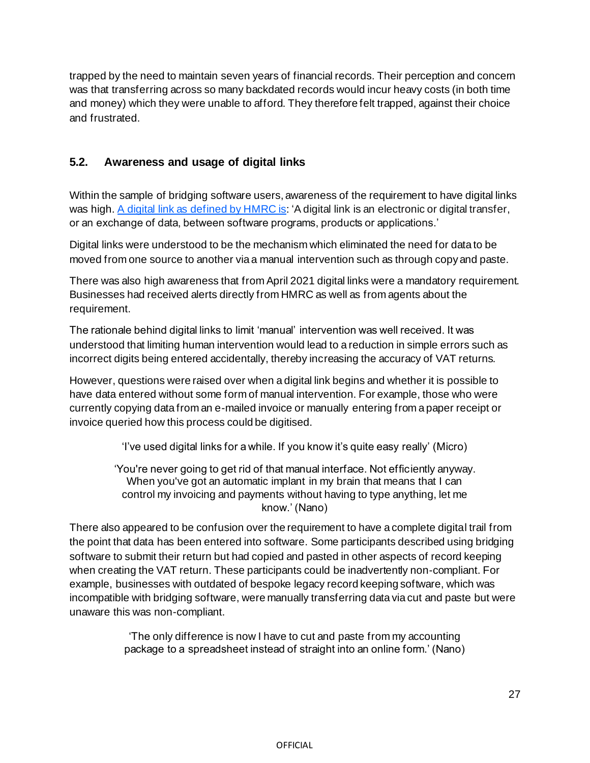trapped by the need to maintain seven years of financial records. Their perception and concern was that transferring across so many backdated records would incur heavy costs (in both time and money) which they were unable to afford. They therefore felt trapped, against their choice and frustrated.

#### **5.2. Awareness and usage of digital links**

Within the sample of bridging software users, awareness of the requirement to have digital links was high[. A digital link as defined by HMRC is:](https://www.gov.uk/government/publications/vat-notice-70022-making-tax-digital-for-vat/vat-notice-70022-making-tax-digital-for-vat) 'A digital link is an electronic or digital transfer, or an exchange of data, between software programs, products or applications.'

Digital links were understood to be the mechanism which eliminated the need for data to be moved from one source to another via a manual intervention such as through copy and paste.

There was also high awareness that from April 2021 digital links were a mandatory requirement. Businesses had received alerts directly from HMRC as well as from agents about the requirement.

The rationale behind digital links to limit 'manual' intervention was well received. It was understood that limiting human intervention would lead to a reduction in simple errors such as incorrect digits being entered accidentally, thereby increasing the accuracy of VAT returns.

However, questions were raised over when a digital link begins and whether it is possible to have data entered without some form of manual intervention. For example, those who were currently copying data from an e-mailed invoice or manually entering from a paper receipt or invoice queried how this process could be digitised.

'I've used digital links for a while. If you know it's quite easy really' (Micro)

'You're never going to get rid of that manual interface. Not efficiently anyway. When you've got an automatic implant in my brain that means that I can control my invoicing and payments without having to type anything, let me know.' (Nano)

There also appeared to be confusion over the requirement to have a complete digital trail from the point that data has been entered into software. Some participants described using bridging software to submit their return but had copied and pasted in other aspects of record keeping when creating the VAT return. These participants could be inadvertently non-compliant. For example, businesses with outdated of bespoke legacy record keeping software, which was incompatible with bridging software, were manually transferring data via cut and paste but were unaware this was non-compliant.

> 'The only difference is now I have to cut and paste from my accounting package to a spreadsheet instead of straight into an online form.' (Nano)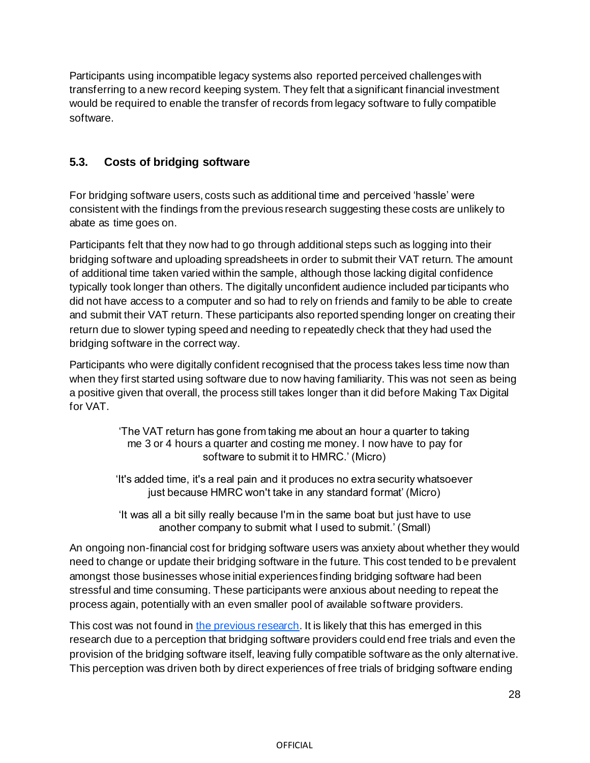Participants using incompatible legacy systems also reported perceived challenges with transferring to a new record keeping system. They felt that a significant financial investment would be required to enable the transfer of records from legacy software to fully compatible software.

# **5.3. Costs of bridging software**

For bridging software users, costs such as additional time and perceived 'hassle' were consistent with the findings from the previous research suggesting these costs are unlikely to abate as time goes on.

Participants felt that they now had to go through additional steps such as logging into their bridging software and uploading spreadsheets in order to submit their VAT return. The amount of additional time taken varied within the sample, although those lacking digital confidence typically took longer than others. The digitally unconfident audience included participants who did not have access to a computer and so had to rely on friends and family to be able to create and submit their VAT return. These participants also reported spending longer on creating their return due to slower typing speed and needing to repeatedly check that they had used the bridging software in the correct way.

Participants who were digitally confident recognised that the process takes less time now than when they first started using software due to now having familiarity. This was not seen as being a positive given that overall, the process still takes longer than it did before Making Tax Digital for VAT.

> 'The VAT return has gone from taking me about an hour a quarter to taking me 3 or 4 hours a quarter and costing me money. I now have to pay for software to submit it to HMRC.' (Micro)

'It's added time, it's a real pain and it produces no extra security whatsoever just because HMRC won't take in any standard format' (Micro)

'It was all a bit silly really because I'm in the same boat but just have to use another company to submit what I used to submit.' (Small)

An ongoing non-financial cost for bridging software users was anxiety about whether they would need to change or update their bridging software in the future. This cost tended to be prevalent amongst those businesses whose initial experiences finding bridging software had been stressful and time consuming. These participants were anxious about needing to repeat the process again, potentially with an even smaller pool of available software providers.

This cost was not found i[n the previous research](https://assets.publishing.service.gov.uk/government/uploads/system/uploads/attachment_data/file/968418/HMRC_research_report_605_-_Exploring_the_costs_and_benefits_of_MTD_for_VAT.pdf). It is likely that this has emerged in this research due to a perception that bridging software providers could end free trials and even the provision of the bridging software itself, leaving fully compatible software as the only alternative. This perception was driven both by direct experiences of free trials of bridging software ending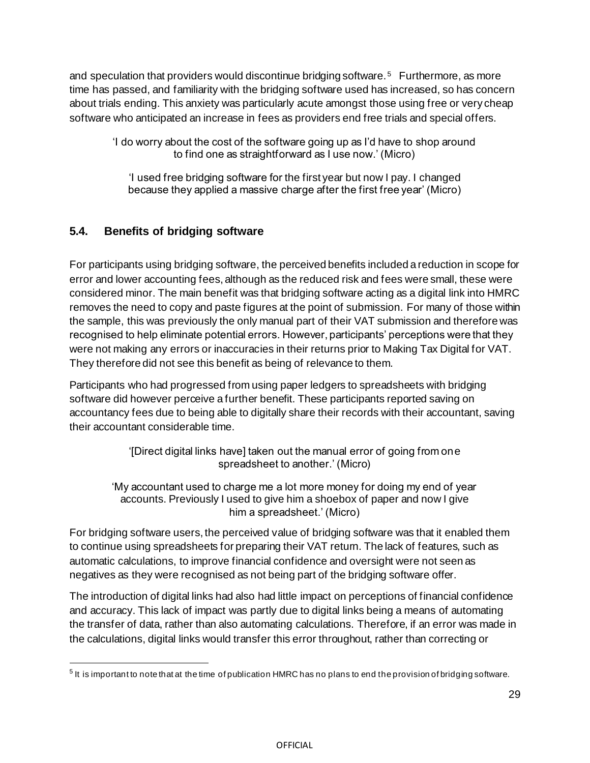and speculation that providers would discontinue bridging software. <sup>5</sup> Furthermore, as more time has passed, and familiarity with the bridging software used has increased, so has concern about trials ending. This anxiety was particularly acute amongst those using free or very cheap software who anticipated an increase in fees as providers end free trials and special offers.

'I do worry about the cost of the software going up as I'd have to shop around to find one as straightforward as I use now.' (Micro)

'I used free bridging software for the first year but now I pay. I changed because they applied a massive charge after the first free year' (Micro)

### **5.4. Benefits of bridging software**

For participants using bridging software, the perceived benefits included a reduction in scope for error and lower accounting fees, although as the reduced risk and fees were small, these were considered minor. The main benefit was that bridging software acting as a digital link into HMRC removes the need to copy and paste figures at the point of submission. For many of those within the sample, this was previously the only manual part of their VAT submission and therefore was recognised to help eliminate potential errors. However, participants' perceptions were that they were not making any errors or inaccuracies in their returns prior to Making Tax Digital for VAT. They therefore did not see this benefit as being of relevance to them.

Participants who had progressed from using paper ledgers to spreadsheets with bridging software did however perceive a further benefit. These participants reported saving on accountancy fees due to being able to digitally share their records with their accountant, saving their accountant considerable time.

> '[Direct digital links have] taken out the manual error of going from one spreadsheet to another.' (Micro)

'My accountant used to charge me a lot more money for doing my end of year accounts. Previously I used to give him a shoebox of paper and now I give him a spreadsheet.' (Micro)

For bridging software users, the perceived value of bridging software was that it enabled them to continue using spreadsheets for preparing their VAT return. The lack of features, such as automatic calculations, to improve financial confidence and oversight were not seen as negatives as they were recognised as not being part of the bridging software offer.

The introduction of digital links had also had little impact on perceptions of financial confidence and accuracy. This lack of impact was partly due to digital links being a means of automating the transfer of data, rather than also automating calculations. Therefore, if an error was made in the calculations, digital links would transfer this error throughout, rather than correcting or

 $^5$  It is important to note that at the time of publication HMRC has no plans to end the provision of bridging software.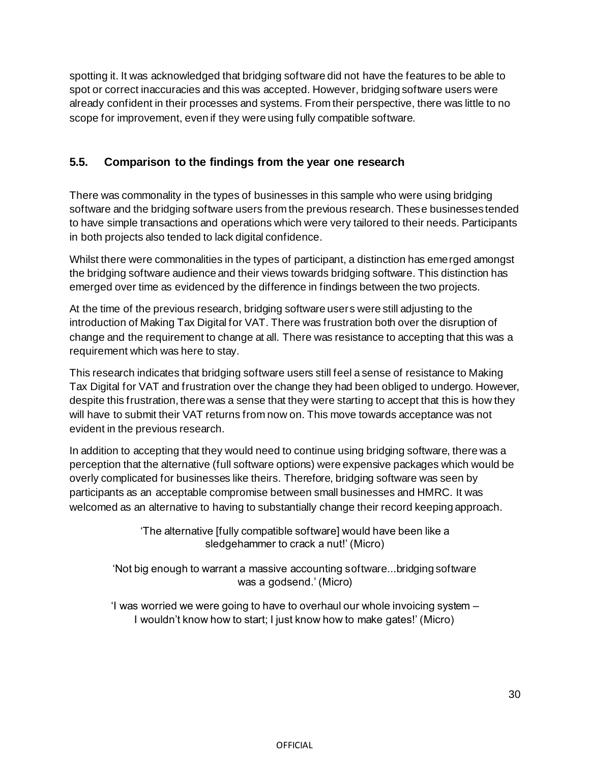spotting it. It was acknowledged that bridging software did not have the features to be able to spot or correct inaccuracies and this was accepted. However, bridging software users were already confident in their processes and systems. From their perspective, there was little to no scope for improvement, even if they were using fully compatible software.

#### **5.5. Comparison to the findings from the year one research**

There was commonality in the types of businesses in this sample who were using bridging software and the bridging software users from the previous research. These businesses tended to have simple transactions and operations which were very tailored to their needs. Participants in both projects also tended to lack digital confidence.

Whilst there were commonalities in the types of participant, a distinction has emerged amongst the bridging software audience and their views towards bridging software. This distinction has emerged over time as evidenced by the difference in findings between the two projects.

At the time of the previous research, bridging software users were still adjusting to the introduction of Making Tax Digital for VAT. There was frustration both over the disruption of change and the requirement to change at all. There was resistance to accepting that this was a requirement which was here to stay.

This research indicates that bridging software users still feel a sense of resistance to Making Tax Digital for VAT and frustration over the change they had been obliged to undergo. However, despite this frustration, there was a sense that they were starting to accept that this is how they will have to submit their VAT returns from now on. This move towards acceptance was not evident in the previous research.

In addition to accepting that they would need to continue using bridging software, there was a perception that the alternative (full software options) were expensive packages which would be overly complicated for businesses like theirs. Therefore, bridging software was seen by participants as an acceptable compromise between small businesses and HMRC. It was welcomed as an alternative to having to substantially change their record keeping approach.

> 'The alternative [fully compatible software] would have been like a sledgehammer to crack a nut!' (Micro)

'Not big enough to warrant a massive accounting software...bridging software was a godsend.' (Micro)

'I was worried we were going to have to overhaul our whole invoicing system – I wouldn't know how to start; I just know how to make gates!' (Micro)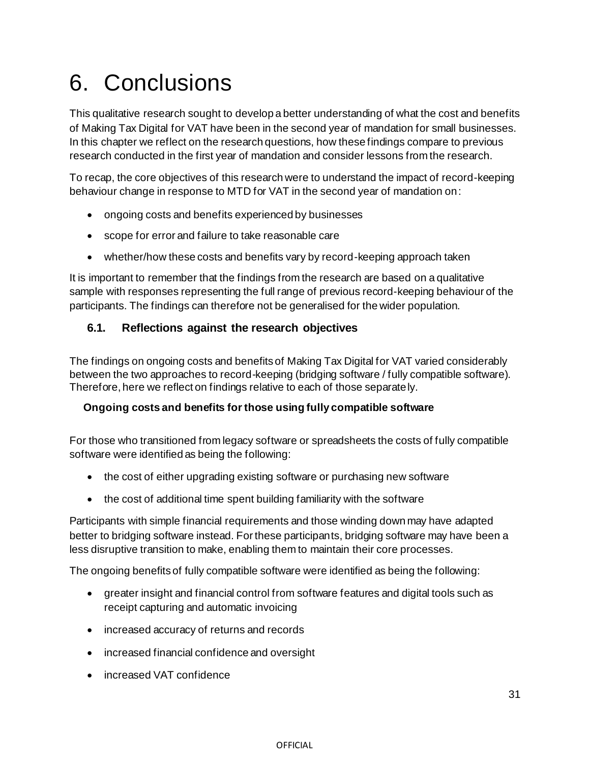# 6. Conclusions

This qualitative research sought to develop a better understanding of what the cost and benefits of Making Tax Digital for VAT have been in the second year of mandation for small businesses. In this chapter we reflect on the research questions, how these findings compare to previous research conducted in the first year of mandation and consider lessons from the research.

To recap, the core objectives of this research were to understand the impact of record-keeping behaviour change in response to MTD for VAT in the second year of mandation on:

- ongoing costs and benefits experienced by businesses
- scope for error and failure to take reasonable care
- whether/how these costs and benefits vary by record-keeping approach taken

It is important to remember that the findings from the research are based on a qualitative sample with responses representing the full range of previous record-keeping behaviour of the participants. The findings can therefore not be generalised for the wider population.

#### **6.1. Reflections against the research objectives**

The findings on ongoing costs and benefits of Making Tax Digital for VAT varied considerably between the two approaches to record-keeping (bridging software / fully compatible software). Therefore, here we reflect on findings relative to each of those separately.

#### **Ongoing costs and benefits for those using fully compatible software**

For those who transitioned from legacy software or spreadsheets the costs of fully compatible software were identified as being the following:

- the cost of either upgrading existing software or purchasing new software
- the cost of additional time spent building familiarity with the software

Participants with simple financial requirements and those winding down may have adapted better to bridging software instead. For these participants, bridging software may have been a less disruptive transition to make, enabling them to maintain their core processes.

The ongoing benefits of fully compatible software were identified as being the following:

- greater insight and financial control from software features and digital tools such as receipt capturing and automatic invoicing
- increased accuracy of returns and records
- increased financial confidence and oversight
- increased VAT confidence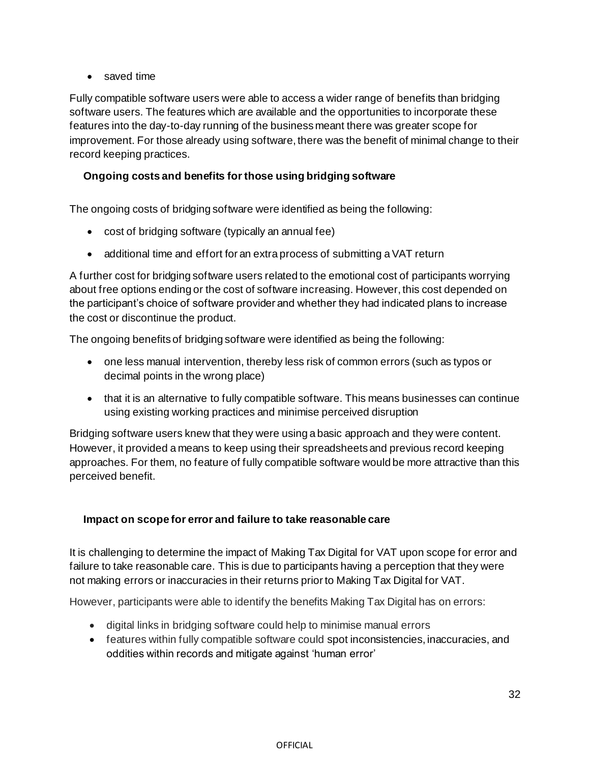#### • saved time

Fully compatible software users were able to access a wider range of benefits than bridging software users. The features which are available and the opportunities to incorporate these features into the day-to-day running of the business meant there was greater scope for improvement. For those already using software, there was the benefit of minimal change to their record keeping practices.

#### **Ongoing costs and benefits for those using bridging software**

The ongoing costs of bridging software were identified as being the following:

- cost of bridging software (typically an annual fee)
- additional time and effort for an extra process of submitting a VAT return

A further cost for bridging software users related to the emotional cost of participants worrying about free options ending or the cost of software increasing. However, this cost depended on the participant's choice of software provider and whether they had indicated plans to increase the cost or discontinue the product.

The ongoing benefits of bridging software were identified as being the following:

- one less manual intervention, thereby less risk of common errors (such as typos or decimal points in the wrong place)
- that it is an alternative to fully compatible software. This means businesses can continue using existing working practices and minimise perceived disruption

Bridging software users knew that they were using a basic approach and they were content. However, it provided a means to keep using their spreadsheets and previous record keeping approaches. For them, no feature of fully compatible software would be more attractive than this perceived benefit.

#### **Impact on scope for error and failure to take reasonable care**

It is challenging to determine the impact of Making Tax Digital for VAT upon scope for error and failure to take reasonable care. This is due to participants having a perception that they were not making errors or inaccuracies in their returns prior to Making Tax Digital for VAT.

However, participants were able to identify the benefits Making Tax Digital has on errors:

- digital links in bridging software could help to minimise manual errors
- features within fully compatible software could spot inconsistencies, inaccuracies, and oddities within records and mitigate against 'human error'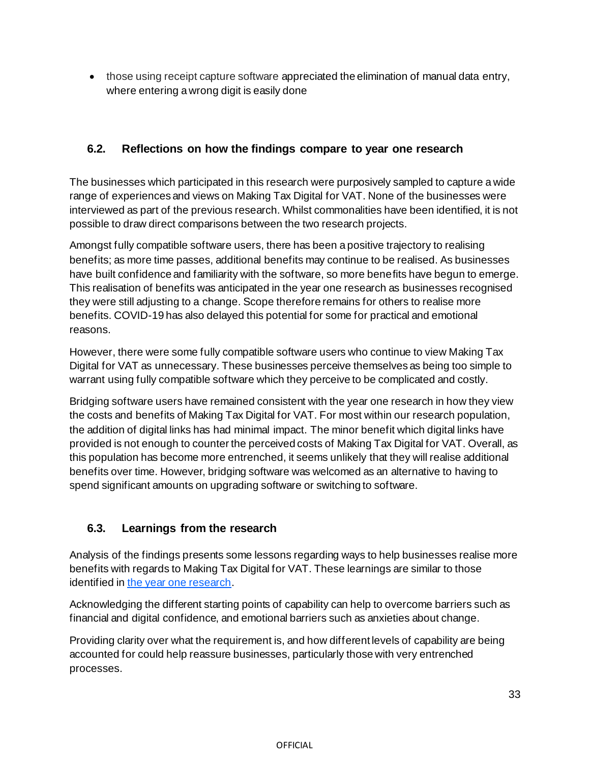• those using receipt capture software appreciated the elimination of manual data entry, where entering a wrong digit is easily done

# **6.2. Reflections on how the findings compare to year one research**

The businesses which participated in this research were purposively sampled to capture a wide range of experiences and views on Making Tax Digital for VAT. None of the businesses were interviewed as part of the previous research. Whilst commonalities have been identified, it is not possible to draw direct comparisons between the two research projects.

Amongst fully compatible software users, there has been a positive trajectory to realising benefits; as more time passes, additional benefits may continue to be realised. As businesses have built confidence and familiarity with the software, so more benefits have begun to emerge. This realisation of benefits was anticipated in the year one research as businesses recognised they were still adjusting to a change. Scope therefore remains for others to realise more benefits. COVID-19 has also delayed this potential for some for practical and emotional reasons.

However, there were some fully compatible software users who continue to view Making Tax Digital for VAT as unnecessary. These businesses perceive themselves as being too simple to warrant using fully compatible software which they perceive to be complicated and costly.

Bridging software users have remained consistent with the year one research in how they view the costs and benefits of Making Tax Digital for VAT. For most within our research population, the addition of digital links has had minimal impact. The minor benefit which digital links have provided is not enough to counter the perceived costs of Making Tax Digital for VAT. Overall, as this population has become more entrenched, it seems unlikely that they will realise additional benefits over time. However, bridging software was welcomed as an alternative to having to spend significant amounts on upgrading software or switching to software.

# **6.3. Learnings from the research**

Analysis of the findings presents some lessons regarding ways to help businesses realise more benefits with regards to Making Tax Digital for VAT. These learnings are similar to those identified i[n the year one research](https://assets.publishing.service.gov.uk/government/uploads/system/uploads/attachment_data/file/968418/HMRC_research_report_605_-_Exploring_the_costs_and_benefits_of_MTD_for_VAT.pdf).

Acknowledging the different starting points of capability can help to overcome barriers such as financial and digital confidence, and emotional barriers such as anxieties about change.

Providing clarity over what the requirement is, and how different levels of capability are being accounted for could help reassure businesses, particularly those with very entrenched processes.